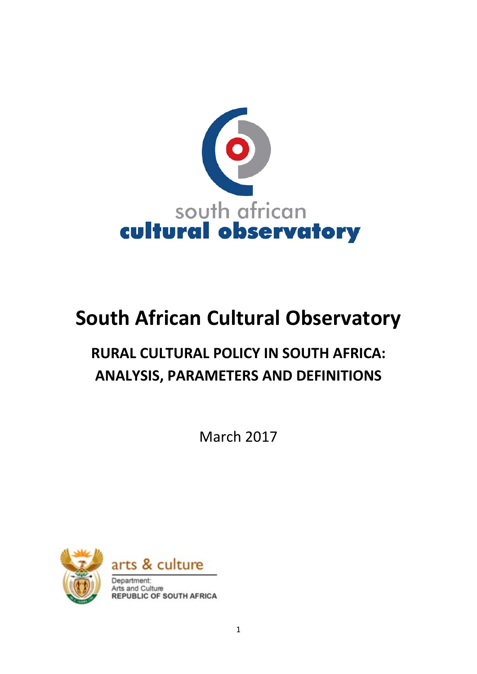

# **South African Cultural Observatory**

# **RURAL CULTURAL POLICY IN SOUTH AFRICA: ANALYSIS, PARAMETERS AND DEFINITIONS**

March 2017



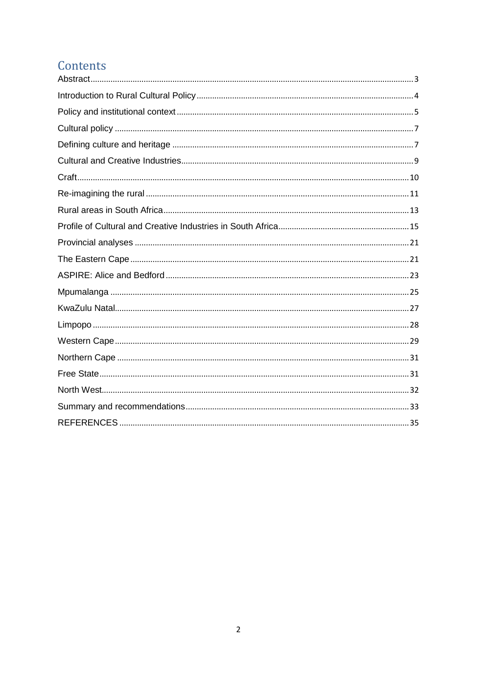# Contents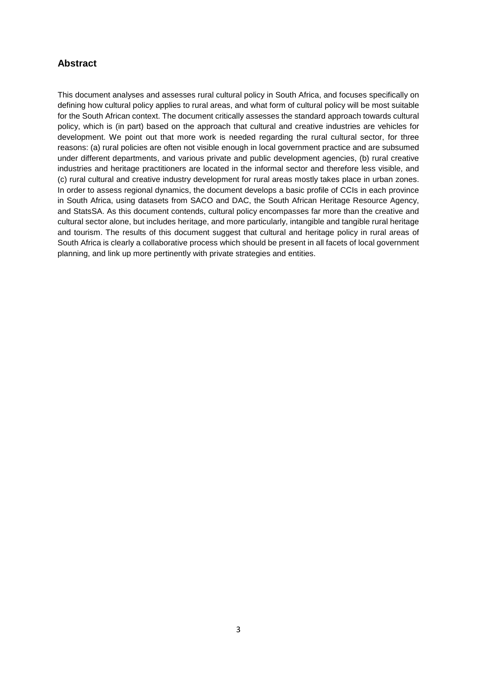# <span id="page-2-0"></span>**Abstract**

This document analyses and assesses rural cultural policy in South Africa, and focuses specifically on defining how cultural policy applies to rural areas, and what form of cultural policy will be most suitable for the South African context. The document critically assesses the standard approach towards cultural policy, which is (in part) based on the approach that cultural and creative industries are vehicles for development. We point out that more work is needed regarding the rural cultural sector, for three reasons: (a) rural policies are often not visible enough in local government practice and are subsumed under different departments, and various private and public development agencies, (b) rural creative industries and heritage practitioners are located in the informal sector and therefore less visible, and (c) rural cultural and creative industry development for rural areas mostly takes place in urban zones. In order to assess regional dynamics, the document develops a basic profile of CCIs in each province in South Africa, using datasets from SACO and DAC, the South African Heritage Resource Agency, and StatsSA. As this document contends, cultural policy encompasses far more than the creative and cultural sector alone, but includes heritage, and more particularly, intangible and tangible rural heritage and tourism. The results of this document suggest that cultural and heritage policy in rural areas of South Africa is clearly a collaborative process which should be present in all facets of local government planning, and link up more pertinently with private strategies and entities.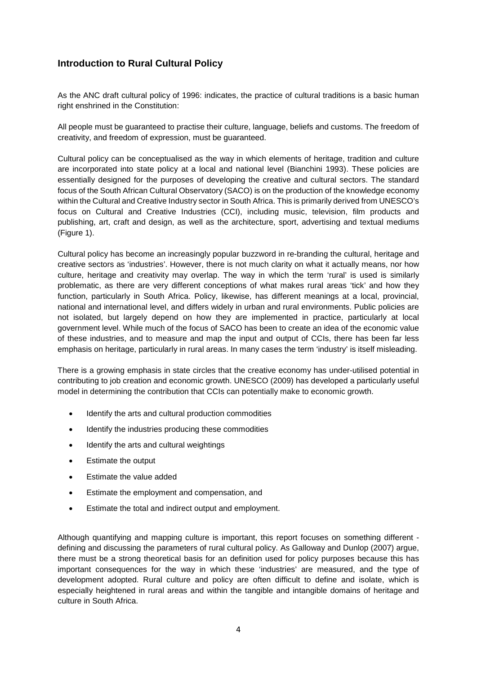# <span id="page-3-0"></span>**Introduction to Rural Cultural Policy**

As the ANC draft cultural policy of 1996: indicates, the practice of cultural traditions is a basic human right enshrined in the Constitution:

All people must be guaranteed to practise their culture, language, beliefs and customs. The freedom of creativity, and freedom of expression, must be guaranteed.

Cultural policy can be conceptualised as the way in which elements of heritage, tradition and culture are incorporated into state policy at a local and national level (Bianchini 1993). These policies are essentially designed for the purposes of developing the creative and cultural sectors. The standard focus of the South African Cultural Observatory (SACO) is on the production of the knowledge economy within the Cultural and Creative Industry sector in South Africa. This is primarily derived from UNESCO's focus on Cultural and Creative Industries (CCI), including music, television, film products and publishing, art, craft and design, as well as the architecture, sport, advertising and textual mediums (Figure 1).

Cultural policy has become an increasingly popular buzzword in re-branding the cultural, heritage and creative sectors as 'industries'. However, there is not much clarity on what it actually means, nor how culture, heritage and creativity may overlap. The way in which the term 'rural' is used is similarly problematic, as there are very different conceptions of what makes rural areas 'tick' and how they function, particularly in South Africa. Policy, likewise, has different meanings at a local, provincial, national and international level, and differs widely in urban and rural environments. Public policies are not isolated, but largely depend on how they are implemented in practice, particularly at local government level. While much of the focus of SACO has been to create an idea of the economic value of these industries, and to measure and map the input and output of CCIs, there has been far less emphasis on heritage, particularly in rural areas. In many cases the term 'industry' is itself misleading.

There is a growing emphasis in state circles that the creative economy has under-utilised potential in contributing to job creation and economic growth. UNESCO (2009) has developed a particularly useful model in determining the contribution that CCIs can potentially make to economic growth.

- Identify the arts and cultural production commodities
- Identify the industries producing these commodities
- Identify the arts and cultural weightings
- Estimate the output
- Estimate the value added
- Estimate the employment and compensation, and
- Estimate the total and indirect output and employment.

Although quantifying and mapping culture is important, this report focuses on something different defining and discussing the parameters of rural cultural policy. As Galloway and Dunlop (2007) argue, there must be a strong theoretical basis for an definition used for policy purposes because this has important consequences for the way in which these 'industries' are measured, and the type of development adopted. Rural culture and policy are often difficult to define and isolate, which is especially heightened in rural areas and within the tangible and intangible domains of heritage and culture in South Africa.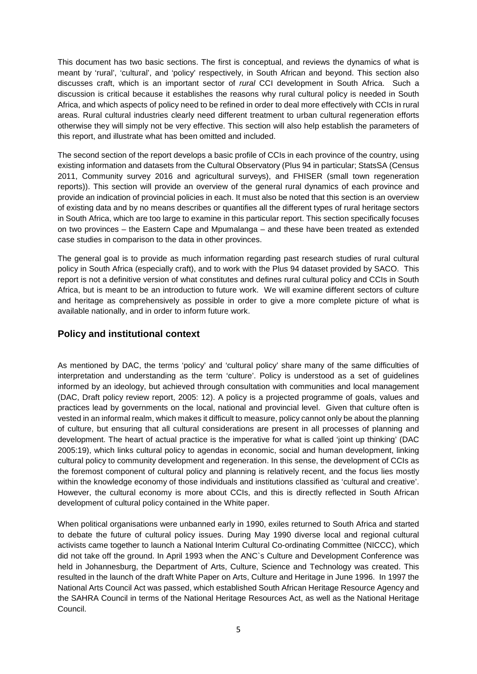This document has two basic sections. The first is conceptual, and reviews the dynamics of what is meant by 'rural', 'cultural', and 'policy' respectively, in South African and beyond. This section also discusses craft, which is an important sector of *rural* CCI development in South Africa. Such a discussion is critical because it establishes the reasons why rural cultural policy is needed in South Africa, and which aspects of policy need to be refined in order to deal more effectively with CCIs in rural areas. Rural cultural industries clearly need different treatment to urban cultural regeneration efforts otherwise they will simply not be very effective. This section will also help establish the parameters of this report, and illustrate what has been omitted and included.

The second section of the report develops a basic profile of CCIs in each province of the country, using existing information and datasets from the Cultural Observatory (Plus 94 in particular; StatsSA (Census 2011, Community survey 2016 and agricultural surveys), and FHISER (small town regeneration reports)). This section will provide an overview of the general rural dynamics of each province and provide an indication of provincial policies in each. It must also be noted that this section is an overview of existing data and by no means describes or quantifies all the different types of rural heritage sectors in South Africa, which are too large to examine in this particular report. This section specifically focuses on two provinces – the Eastern Cape and Mpumalanga – and these have been treated as extended case studies in comparison to the data in other provinces.

The general goal is to provide as much information regarding past research studies of rural cultural policy in South Africa (especially craft), and to work with the Plus 94 dataset provided by SACO. This report is not a definitive version of what constitutes and defines rural cultural policy and CCIs in South Africa, but is meant to be an introduction to future work. We will examine different sectors of culture and heritage as comprehensively as possible in order to give a more complete picture of what is available nationally, and in order to inform future work.

#### <span id="page-4-0"></span>**Policy and institutional context**

As mentioned by DAC, the terms 'policy' and 'cultural policy' share many of the same difficulties of interpretation and understanding as the term 'culture'. Policy is understood as a set of guidelines informed by an ideology, but achieved through consultation with communities and local management (DAC, Draft policy review report, 2005: 12). A policy is a projected programme of goals, values and practices lead by governments on the local, national and provincial level. Given that culture often is vested in an informal realm, which makes it difficult to measure, policy cannot only be about the planning of culture, but ensuring that all cultural considerations are present in all processes of planning and development. The heart of actual practice is the imperative for what is called 'joint up thinking' (DAC 2005:19), which links cultural policy to agendas in economic, social and human development, linking cultural policy to community development and regeneration. In this sense, the development of CCIs as the foremost component of cultural policy and planning is relatively recent, and the focus lies mostly within the knowledge economy of those individuals and institutions classified as 'cultural and creative'. However, the cultural economy is more about CCIs, and this is directly reflected in South African development of cultural policy contained in the White paper.

When political organisations were unbanned early in 1990, exiles returned to South Africa and started to debate the future of cultural policy issues. During May 1990 diverse local and regional cultural activists came together to launch a National Interim Cultural Co-ordinating Committee (NICCC), which did not take off the ground. In April 1993 when the ANC`s Culture and Development Conference was held in Johannesburg, the Department of Arts, Culture, Science and Technology was created. This resulted in the launch of the draft White Paper on Arts, Culture and Heritage in June 1996. In 1997 the National Arts Council Act was passed, which established South African Heritage Resource Agency and the SAHRA Council in terms of the National Heritage Resources Act, as well as the National Heritage Council.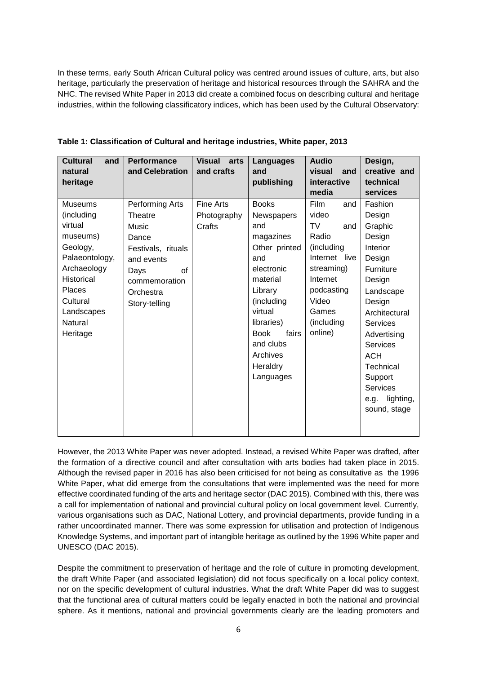In these terms, early South African Cultural policy was centred around issues of culture, arts, but also heritage, particularly the preservation of heritage and historical resources through the SAHRA and the NHC. The revised White Paper in 2013 did create a combined focus on describing cultural and heritage industries, within the following classificatory indices, which has been used by the Cultural Observatory:

| <b>Cultural</b><br>and<br>natural                                                                                                                                                       | <b>Performance</b><br>and Celebration                                                                                                         | <b>Visual</b><br>arts<br>and crafts       | Languages<br>and                                                                                                                                                                                                             | <b>Audio</b><br>visual<br>and                                                                                                                                       | Design,<br>creative and                                                                                                                                                                                                                                                        |
|-----------------------------------------------------------------------------------------------------------------------------------------------------------------------------------------|-----------------------------------------------------------------------------------------------------------------------------------------------|-------------------------------------------|------------------------------------------------------------------------------------------------------------------------------------------------------------------------------------------------------------------------------|---------------------------------------------------------------------------------------------------------------------------------------------------------------------|--------------------------------------------------------------------------------------------------------------------------------------------------------------------------------------------------------------------------------------------------------------------------------|
| heritage                                                                                                                                                                                |                                                                                                                                               |                                           | publishing                                                                                                                                                                                                                   | interactive<br>media                                                                                                                                                | technical<br>services                                                                                                                                                                                                                                                          |
| <b>Museums</b><br>(including<br>virtual<br>museums)<br>Geology,<br>Palaeontology,<br>Archaeology<br><b>Historical</b><br><b>Places</b><br>Cultural<br>Landscapes<br>Natural<br>Heritage | Performing Arts<br>Theatre<br>Music<br>Dance<br>Festivals, rituals<br>and events<br>of<br>Days<br>commemoration<br>Orchestra<br>Story-telling | <b>Fine Arts</b><br>Photography<br>Crafts | <b>Books</b><br>Newspapers<br>and<br>magazines<br>Other printed<br>and<br>electronic<br>material<br>Library<br>(including<br>virtual<br>libraries)<br><b>Book</b><br>fairs<br>and clubs<br>Archives<br>Heraldry<br>Languages | <b>Film</b><br>and<br>video<br>TV<br>and<br>Radio<br>(including<br>Internet live<br>streaming)<br>Internet<br>podcasting<br>Video<br>Games<br>(including<br>online) | Fashion<br>Design<br>Graphic<br>Design<br>Interior<br>Design<br>Furniture<br>Design<br>Landscape<br>Design<br>Architectural<br><b>Services</b><br>Advertising<br><b>Services</b><br><b>ACH</b><br>Technical<br>Support<br><b>Services</b><br>lighting,<br>e.g.<br>sound, stage |

**Table 1: Classification of Cultural and heritage industries, White paper, 2013** 

However, the 2013 White Paper was never adopted. Instead, a revised White Paper was drafted, after the formation of a directive council and after consultation with arts bodies had taken place in 2015. Although the revised paper in 2016 has also been criticised for not being as consultative as the 1996 White Paper, what did emerge from the consultations that were implemented was the need for more effective coordinated funding of the arts and heritage sector (DAC 2015). Combined with this, there was a call for implementation of national and provincial cultural policy on local government level. Currently, various organisations such as DAC, National Lottery, and provincial departments, provide funding in a rather uncoordinated manner. There was some expression for utilisation and protection of Indigenous Knowledge Systems, and important part of intangible heritage as outlined by the 1996 White paper and UNESCO (DAC 2015).

Despite the commitment to preservation of heritage and the role of culture in promoting development, the draft White Paper (and associated legislation) did not focus specifically on a local policy context, nor on the specific development of cultural industries. What the draft White Paper did was to suggest that the functional area of cultural matters could be legally enacted in both the national and provincial sphere. As it mentions, national and provincial governments clearly are the leading promoters and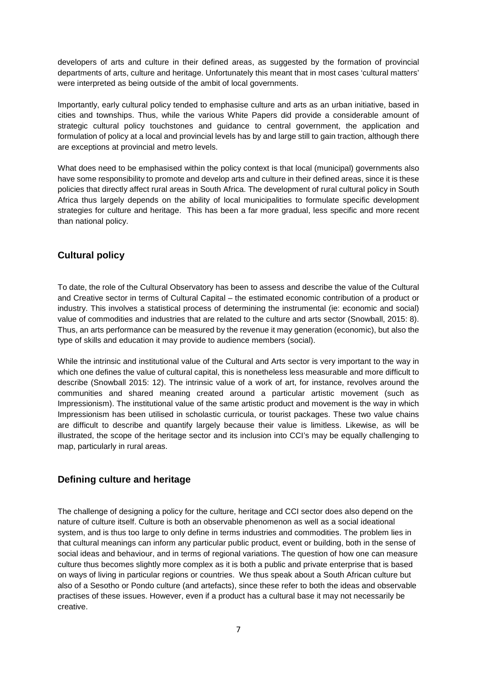developers of arts and culture in their defined areas, as suggested by the formation of provincial departments of arts, culture and heritage. Unfortunately this meant that in most cases 'cultural matters' were interpreted as being outside of the ambit of local governments.

Importantly, early cultural policy tended to emphasise culture and arts as an urban initiative, based in cities and townships. Thus, while the various White Papers did provide a considerable amount of strategic cultural policy touchstones and guidance to central government, the application and formulation of policy at a local and provincial levels has by and large still to gain traction, although there are exceptions at provincial and metro levels.

What does need to be emphasised within the policy context is that local (municipal) governments also have some responsibility to promote and develop arts and culture in their defined areas, since it is these policies that directly affect rural areas in South Africa. The development of rural cultural policy in South Africa thus largely depends on the ability of local municipalities to formulate specific development strategies for culture and heritage. This has been a far more gradual, less specific and more recent than national policy.

# <span id="page-6-0"></span>**Cultural policy**

To date, the role of the Cultural Observatory has been to assess and describe the value of the Cultural and Creative sector in terms of Cultural Capital – the estimated economic contribution of a product or industry. This involves a statistical process of determining the instrumental (ie: economic and social) value of commodities and industries that are related to the culture and arts sector (Snowball, 2015: 8). Thus, an arts performance can be measured by the revenue it may generation (economic), but also the type of skills and education it may provide to audience members (social).

While the intrinsic and institutional value of the Cultural and Arts sector is very important to the way in which one defines the value of cultural capital, this is nonetheless less measurable and more difficult to describe (Snowball 2015: 12). The intrinsic value of a work of art, for instance, revolves around the communities and shared meaning created around a particular artistic movement (such as Impressionism). The institutional value of the same artistic product and movement is the way in which Impressionism has been utilised in scholastic curricula, or tourist packages. These two value chains are difficult to describe and quantify largely because their value is limitless. Likewise, as will be illustrated, the scope of the heritage sector and its inclusion into CCI's may be equally challenging to map, particularly in rural areas.

### <span id="page-6-1"></span>**Defining culture and heritage**

The challenge of designing a policy for the culture, heritage and CCI sector does also depend on the nature of culture itself. Culture is both an observable phenomenon as well as a social ideational system, and is thus too large to only define in terms industries and commodities. The problem lies in that cultural meanings can inform any particular public product, event or building, both in the sense of social ideas and behaviour, and in terms of regional variations. The question of how one can measure culture thus becomes slightly more complex as it is both a public and private enterprise that is based on ways of living in particular regions or countries. We thus speak about a South African culture but also of a Sesotho or Pondo culture (and artefacts), since these refer to both the ideas and observable practises of these issues. However, even if a product has a cultural base it may not necessarily be creative.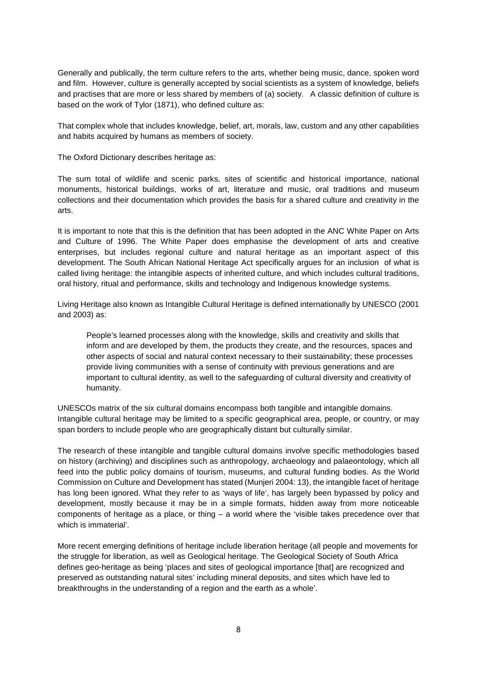Generally and publically, the term culture refers to the arts, whether being music, dance, spoken word and film. However, culture is generally accepted by social scientists as a system of knowledge, beliefs and practises that are more or less shared by members of (a) society. A classic definition of culture is based on the work of Tylor (1871), who defined culture as:

That complex whole that includes knowledge, belief, art, morals, law, custom and any other capabilities and habits acquired by humans as members of society.

The Oxford Dictionary describes heritage as:

The sum total of wildlife and scenic parks, sites of scientific and historical importance, national monuments, historical buildings, works of art, literature and music, oral traditions and museum collections and their documentation which provides the basis for a shared culture and creativity in the arts.

It is important to note that this is the definition that has been adopted in the ANC White Paper on Arts and Culture of 1996. The White Paper does emphasise the development of arts and creative enterprises, but includes regional culture and natural heritage as an important aspect of this development. The South African National Heritage Act specifically argues for an inclusion of what is called living heritage: the intangible aspects of inherited culture, and which includes cultural traditions, oral history, ritual and performance, skills and technology and Indigenous knowledge systems.

Living Heritage also known as Intangible Cultural Heritage is defined internationally by UNESCO (2001 and 2003) as:

People's learned processes along with the knowledge, skills and creativity and skills that inform and are developed by them, the products they create, and the resources, spaces and other aspects of social and natural context necessary to their sustainability; these processes provide living communities with a sense of continuity with previous generations and are important to cultural identity, as well to the safeguarding of cultural diversity and creativity of humanity.

UNESCOs matrix of the six cultural domains encompass both tangible and intangible domains. Intangible cultural heritage may be limited to a specific geographical area, people, or country, or may span borders to include people who are geographically distant but culturally similar.

The research of these intangible and tangible cultural domains involve specific methodologies based on history (archiving) and disciplines such as anthropology, archaeology and palaeontology, which all feed into the public policy domains of tourism, museums, and cultural funding bodies. As the World Commission on Culture and Development has stated (Munjeri 2004: 13), the intangible facet of heritage has long been ignored. What they refer to as 'ways of life', has largely been bypassed by policy and development, mostly because it may be in a simple formats, hidden away from more noticeable components of heritage as a place, or thing – a world where the 'visible takes precedence over that which is immaterial'.

More recent emerging definitions of heritage include liberation heritage (all people and movements for the struggle for liberation, as well as Geological heritage. The Geological Society of South Africa defines geo-heritage as being 'places and sites of geological importance [that] are recognized and preserved as outstanding natural sites' including mineral deposits, and sites which have led to breakthroughs in the understanding of a region and the earth as a whole'.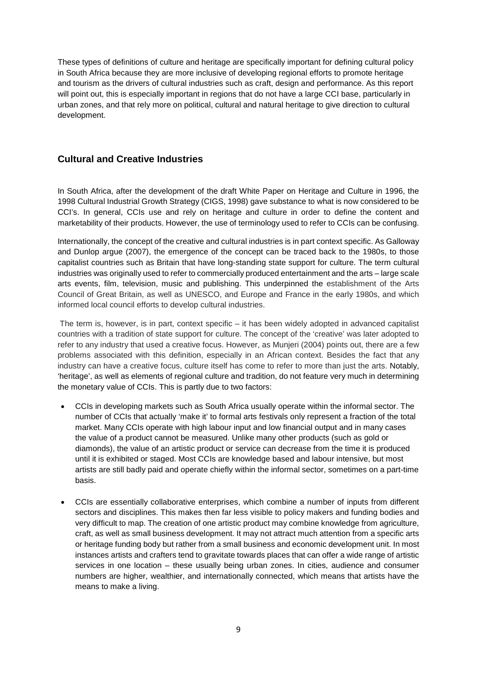These types of definitions of culture and heritage are specifically important for defining cultural policy in South Africa because they are more inclusive of developing regional efforts to promote heritage and tourism as the drivers of cultural industries such as craft, design and performance. As this report will point out, this is especially important in regions that do not have a large CCI base, particularly in urban zones, and that rely more on political, cultural and natural heritage to give direction to cultural development.

# <span id="page-8-0"></span>**Cultural and Creative Industries**

In South Africa, after the development of the draft White Paper on Heritage and Culture in 1996, the 1998 Cultural Industrial Growth Strategy (CIGS, 1998) gave substance to what is now considered to be CCI's. In general, CCIs use and rely on heritage and culture in order to define the content and marketability of their products. However, the use of terminology used to refer to CCIs can be confusing.

Internationally, the concept of the creative and cultural industries is in part context specific. As Galloway and Dunlop argue (2007), the emergence of the concept can be traced back to the 1980s, to those capitalist countries such as Britain that have long-standing state support for culture. The term cultural industries was originally used to refer to commercially produced entertainment and the arts – large scale arts events, film, television, music and publishing. This underpinned the establishment of the Arts Council of Great Britain, as well as UNESCO, and Europe and France in the early 1980s, and which informed local council efforts to develop cultural industries.

The term is, however, is in part, context specific – it has been widely adopted in advanced capitalist countries with a tradition of state support for culture. The concept of the 'creative' was later adopted to refer to any industry that used a creative focus. However, as Munjeri (2004) points out, there are a few problems associated with this definition, especially in an African context. Besides the fact that any industry can have a creative focus, culture itself has come to refer to more than just the arts. Notably, 'heritage', as well as elements of regional culture and tradition, do not feature very much in determining the monetary value of CCIs. This is partly due to two factors:

- CCIs in developing markets such as South Africa usually operate within the informal sector. The number of CCIs that actually 'make it' to formal arts festivals only represent a fraction of the total market. Many CCIs operate with high labour input and low financial output and in many cases the value of a product cannot be measured. Unlike many other products (such as gold or diamonds), the value of an artistic product or service can decrease from the time it is produced until it is exhibited or staged. Most CCIs are knowledge based and labour intensive, but most artists are still badly paid and operate chiefly within the informal sector, sometimes on a part-time basis.
- CCIs are essentially collaborative enterprises, which combine a number of inputs from different sectors and disciplines. This makes then far less visible to policy makers and funding bodies and very difficult to map. The creation of one artistic product may combine knowledge from agriculture, craft, as well as small business development. It may not attract much attention from a specific arts or heritage funding body but rather from a small business and economic development unit. In most instances artists and crafters tend to gravitate towards places that can offer a wide range of artistic services in one location – these usually being urban zones. In cities, audience and consumer numbers are higher, wealthier, and internationally connected, which means that artists have the means to make a living.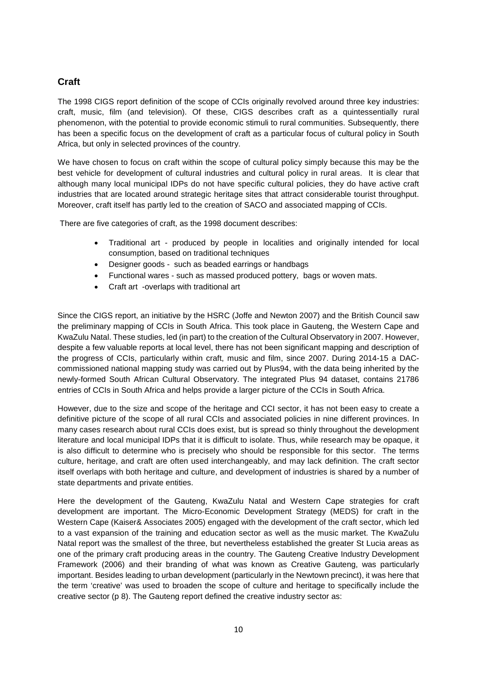# <span id="page-9-0"></span>**Craft**

The 1998 CIGS report definition of the scope of CCIs originally revolved around three key industries: craft, music, film (and television). Of these, CIGS describes craft as a quintessentially rural phenomenon, with the potential to provide economic stimuli to rural communities. Subsequently, there has been a specific focus on the development of craft as a particular focus of cultural policy in South Africa, but only in selected provinces of the country.

We have chosen to focus on craft within the scope of cultural policy simply because this may be the best vehicle for development of cultural industries and cultural policy in rural areas. It is clear that although many local municipal IDPs do not have specific cultural policies, they do have active craft industries that are located around strategic heritage sites that attract considerable tourist throughput. Moreover, craft itself has partly led to the creation of SACO and associated mapping of CCIs.

There are five categories of craft, as the 1998 document describes:

- Traditional art produced by people in localities and originally intended for local consumption, based on traditional techniques
- Designer goods such as beaded earrings or handbags
- Functional wares such as massed produced pottery, bags or woven mats.
- Craft art -overlaps with traditional art

Since the CIGS report, an initiative by the HSRC (Joffe and Newton 2007) and the British Council saw the preliminary mapping of CCIs in South Africa. This took place in Gauteng, the Western Cape and KwaZulu Natal. These studies, led (in part) to the creation of the Cultural Observatory in 2007. However, despite a few valuable reports at local level, there has not been significant mapping and description of the progress of CCIs, particularly within craft, music and film, since 2007. During 2014-15 a DACcommissioned national mapping study was carried out by Plus94, with the data being inherited by the newly-formed South African Cultural Observatory. The integrated Plus 94 dataset, contains 21786 entries of CCIs in South Africa and helps provide a larger picture of the CCIs in South Africa.

However, due to the size and scope of the heritage and CCI sector, it has not been easy to create a definitive picture of the scope of all rural CCIs and associated policies in nine different provinces. In many cases research about rural CCIs does exist, but is spread so thinly throughout the development literature and local municipal IDPs that it is difficult to isolate. Thus, while research may be opaque, it is also difficult to determine who is precisely who should be responsible for this sector. The terms culture, heritage, and craft are often used interchangeably, and may lack definition. The craft sector itself overlaps with both heritage and culture, and development of industries is shared by a number of state departments and private entities.

Here the development of the Gauteng, KwaZulu Natal and Western Cape strategies for craft development are important. The Micro-Economic Development Strategy (MEDS) for craft in the Western Cape (Kaiser& Associates 2005) engaged with the development of the craft sector, which led to a vast expansion of the training and education sector as well as the music market. The KwaZulu Natal report was the smallest of the three, but nevertheless established the greater St Lucia areas as one of the primary craft producing areas in the country. The Gauteng Creative Industry Development Framework (2006) and their branding of what was known as Creative Gauteng, was particularly important. Besides leading to urban development (particularly in the Newtown precinct), it was here that the term 'creative' was used to broaden the scope of culture and heritage to specifically include the creative sector (p 8). The Gauteng report defined the creative industry sector as: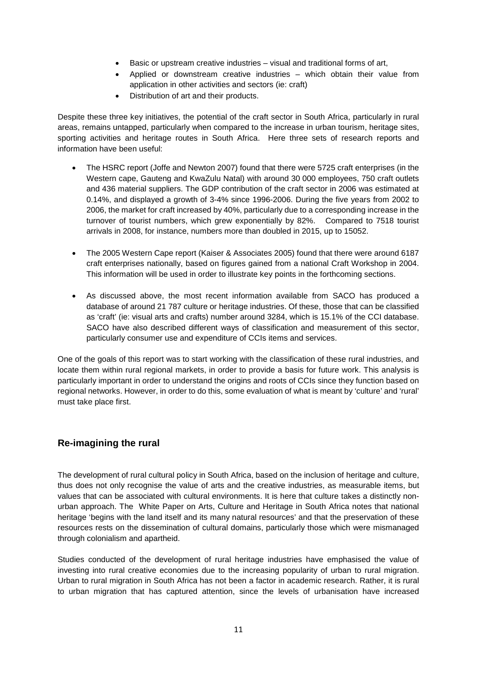- Basic or upstream creative industries visual and traditional forms of art,
- Applied or downstream creative industries which obtain their value from application in other activities and sectors (ie: craft)
- Distribution of art and their products.

Despite these three key initiatives, the potential of the craft sector in South Africa, particularly in rural areas, remains untapped, particularly when compared to the increase in urban tourism, heritage sites, sporting activities and heritage routes in South Africa. Here three sets of research reports and information have been useful:

- The HSRC report (Joffe and Newton 2007) found that there were 5725 craft enterprises (in the Western cape, Gauteng and KwaZulu Natal) with around 30 000 employees, 750 craft outlets and 436 material suppliers. The GDP contribution of the craft sector in 2006 was estimated at 0.14%, and displayed a growth of 3-4% since 1996-2006. During the five years from 2002 to 2006, the market for craft increased by 40%, particularly due to a corresponding increase in the turnover of tourist numbers, which grew exponentially by 82%. Compared to 7518 tourist arrivals in 2008, for instance, numbers more than doubled in 2015, up to 15052.
- The 2005 Western Cape report (Kaiser & Associates 2005) found that there were around 6187 craft enterprises nationally, based on figures gained from a national Craft Workshop in 2004. This information will be used in order to illustrate key points in the forthcoming sections.
- As discussed above, the most recent information available from SACO has produced a database of around 21 787 culture or heritage industries. Of these, those that can be classified as 'craft' (ie: visual arts and crafts) number around 3284, which is 15.1% of the CCI database. SACO have also described different ways of classification and measurement of this sector, particularly consumer use and expenditure of CCIs items and services.

One of the goals of this report was to start working with the classification of these rural industries, and locate them within rural regional markets, in order to provide a basis for future work. This analysis is particularly important in order to understand the origins and roots of CCIs since they function based on regional networks. However, in order to do this, some evaluation of what is meant by 'culture' and 'rural' must take place first.

### <span id="page-10-0"></span>**Re-imagining the rural**

The development of rural cultural policy in South Africa, based on the inclusion of heritage and culture, thus does not only recognise the value of arts and the creative industries, as measurable items, but values that can be associated with cultural environments. It is here that culture takes a distinctly nonurban approach. The White Paper on Arts, Culture and Heritage in South Africa notes that national heritage 'begins with the land itself and its many natural resources' and that the preservation of these resources rests on the dissemination of cultural domains, particularly those which were mismanaged through colonialism and apartheid.

Studies conducted of the development of rural heritage industries have emphasised the value of investing into rural creative economies due to the increasing popularity of urban to rural migration. Urban to rural migration in South Africa has not been a factor in academic research. Rather, it is rural to urban migration that has captured attention, since the levels of urbanisation have increased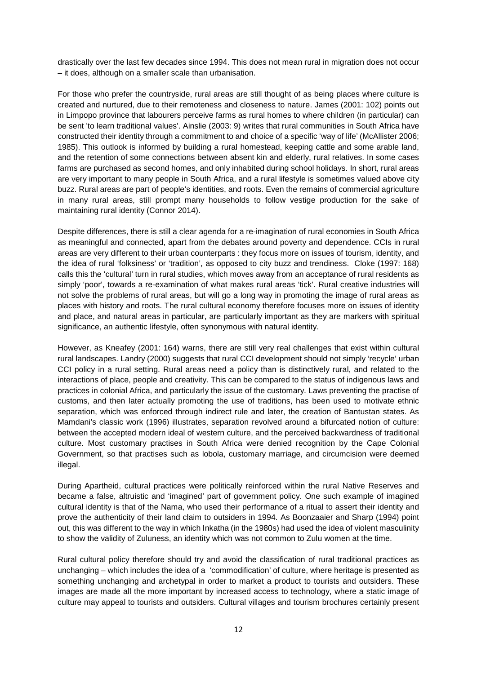drastically over the last few decades since 1994. This does not mean rural in migration does not occur – it does, although on a smaller scale than urbanisation.

For those who prefer the countryside, rural areas are still thought of as being places where culture is created and nurtured, due to their remoteness and closeness to nature. James (2001: 102) points out in Limpopo province that labourers perceive farms as rural homes to where children (in particular) can be sent 'to learn traditional values'. Ainslie (2003: 9) writes that rural communities in South Africa have constructed their identity through a commitment to and choice of a specific 'way of life' (McAllister 2006; 1985). This outlook is informed by building a rural homestead, keeping cattle and some arable land, and the retention of some connections between absent kin and elderly, rural relatives. In some cases farms are purchased as second homes, and only inhabited during school holidays. In short, rural areas are very important to many people in South Africa, and a rural lifestyle is sometimes valued above city buzz. Rural areas are part of people's identities, and roots. Even the remains of commercial agriculture in many rural areas, still prompt many households to follow vestige production for the sake of maintaining rural identity (Connor 2014).

Despite differences, there is still a clear agenda for a re-imagination of rural economies in South Africa as meaningful and connected, apart from the debates around poverty and dependence. CCIs in rural areas are very different to their urban counterparts : they focus more on issues of tourism, identity, and the idea of rural 'folksiness' or 'tradition', as opposed to city buzz and trendiness. Cloke (1997: 168) calls this the 'cultural' turn in rural studies, which moves away from an acceptance of rural residents as simply 'poor', towards a re-examination of what makes rural areas 'tick'. Rural creative industries will not solve the problems of rural areas, but will go a long way in promoting the image of rural areas as places with history and roots. The rural cultural economy therefore focuses more on issues of identity and place, and natural areas in particular, are particularly important as they are markers with spiritual significance, an authentic lifestyle, often synonymous with natural identity.

However, as Kneafey (2001: 164) warns, there are still very real challenges that exist within cultural rural landscapes. Landry (2000) suggests that rural CCI development should not simply 'recycle' urban CCI policy in a rural setting. Rural areas need a policy than is distinctively rural, and related to the interactions of place, people and creativity. This can be compared to the status of indigenous laws and practices in colonial Africa, and particularly the issue of the customary. Laws preventing the practise of customs, and then later actually promoting the use of traditions, has been used to motivate ethnic separation, which was enforced through indirect rule and later, the creation of Bantustan states. As Mamdani's classic work (1996) illustrates, separation revolved around a bifurcated notion of culture: between the accepted modern ideal of western culture, and the perceived backwardness of traditional culture. Most customary practises in South Africa were denied recognition by the Cape Colonial Government, so that practises such as lobola, customary marriage, and circumcision were deemed illegal.

During Apartheid, cultural practices were politically reinforced within the rural Native Reserves and became a false, altruistic and 'imagined' part of government policy. One such example of imagined cultural identity is that of the Nama, who used their performance of a ritual to assert their identity and prove the authenticity of their land claim to outsiders in 1994. As Boonzaaier and Sharp (1994) point out, this was different to the way in which Inkatha (in the 1980s) had used the idea of violent masculinity to show the validity of Zuluness, an identity which was not common to Zulu women at the time.

Rural cultural policy therefore should try and avoid the classification of rural traditional practices as unchanging – which includes the idea of a 'commodification' of culture, where heritage is presented as something unchanging and archetypal in order to market a product to tourists and outsiders. These images are made all the more important by increased access to technology, where a static image of culture may appeal to tourists and outsiders. Cultural villages and tourism brochures certainly present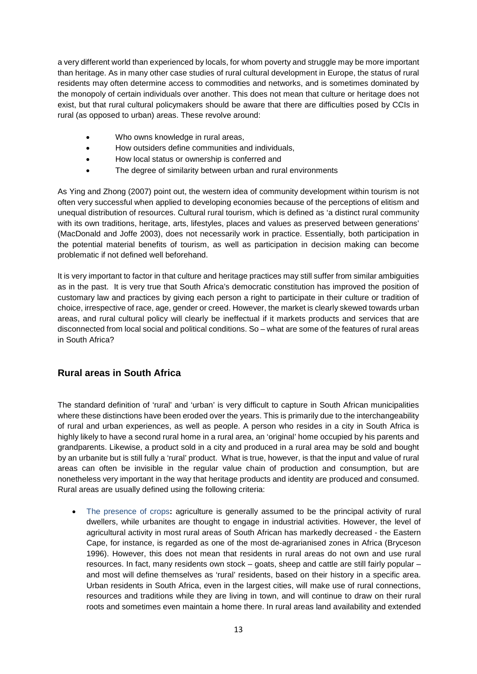a very different world than experienced by locals, for whom poverty and struggle may be more important than heritage. As in many other case studies of rural cultural development in Europe, the status of rural residents may often determine access to commodities and networks, and is sometimes dominated by the monopoly of certain individuals over another. This does not mean that culture or heritage does not exist, but that rural cultural policymakers should be aware that there are difficulties posed by CCIs in rural (as opposed to urban) areas. These revolve around:

- Who owns knowledge in rural areas.
- How outsiders define communities and individuals,
- How local status or ownership is conferred and
- The degree of similarity between urban and rural environments

As Ying and Zhong (2007) point out, the western idea of community development within tourism is not often very successful when applied to developing economies because of the perceptions of elitism and unequal distribution of resources. Cultural rural tourism, which is defined as 'a distinct rural community with its own traditions, heritage, arts, lifestyles, places and values as preserved between generations' (MacDonald and Joffe 2003), does not necessarily work in practice. Essentially, both participation in the potential material benefits of tourism, as well as participation in decision making can become problematic if not defined well beforehand.

It is very important to factor in that culture and heritage practices may still suffer from similar ambiguities as in the past. It is very true that South Africa's democratic constitution has improved the position of customary law and practices by giving each person a right to participate in their culture or tradition of choice, irrespective of race, age, gender or creed. However, the market is clearly skewed towards urban areas, and rural cultural policy will clearly be ineffectual if it markets products and services that are disconnected from local social and political conditions. So – what are some of the features of rural areas in South Africa?

### <span id="page-12-0"></span>**Rural areas in South Africa**

The standard definition of 'rural' and 'urban' is very difficult to capture in South African municipalities where these distinctions have been eroded over the years. This is primarily due to the interchangeability of rural and urban experiences, as well as people. A person who resides in a city in South Africa is highly likely to have a second rural home in a rural area, an 'original' home occupied by his parents and grandparents. Likewise, a product sold in a city and produced in a rural area may be sold and bought by an urbanite but is still fully a 'rural' product. What is true, however, is that the input and value of rural areas can often be invisible in the regular value chain of production and consumption, but are nonetheless very important in the way that heritage products and identity are produced and consumed. Rural areas are usually defined using the following criteria:

• The presence of crops**:** agriculture is generally assumed to be the principal activity of rural dwellers, while urbanites are thought to engage in industrial activities. However, the level of agricultural activity in most rural areas of South African has markedly decreased - the Eastern Cape, for instance, is regarded as one of the most de-agrarianised zones in Africa (Bryceson 1996). However, this does not mean that residents in rural areas do not own and use rural resources. In fact, many residents own stock – goats, sheep and cattle are still fairly popular – and most will define themselves as 'rural' residents, based on their history in a specific area. Urban residents in South Africa, even in the largest cities, will make use of rural connections, resources and traditions while they are living in town, and will continue to draw on their rural roots and sometimes even maintain a home there. In rural areas land availability and extended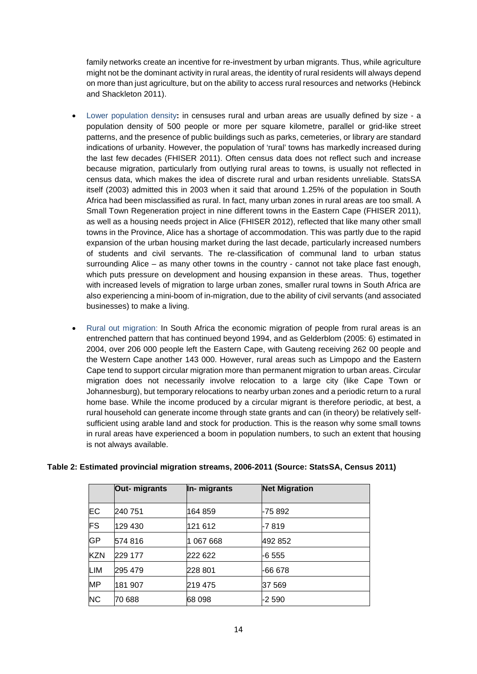family networks create an incentive for re-investment by urban migrants. Thus, while agriculture might not be the dominant activity in rural areas, the identity of rural residents will always depend on more than just agriculture, but on the ability to access rural resources and networks (Hebinck and Shackleton 2011).

- Lower population density**:** in censuses rural and urban areas are usually defined by size a population density of 500 people or more per square kilometre, parallel or grid-like street patterns, and the presence of public buildings such as parks, cemeteries, or library are standard indications of urbanity. However, the population of 'rural' towns has markedly increased during the last few decades (FHISER 2011). Often census data does not reflect such and increase because migration, particularly from outlying rural areas to towns, is usually not reflected in census data, which makes the idea of discrete rural and urban residents unreliable. StatsSA itself (2003) admitted this in 2003 when it said that around 1.25% of the population in South Africa had been misclassified as rural. In fact, many urban zones in rural areas are too small. A Small Town Regeneration project in nine different towns in the Eastern Cape (FHISER 2011), as well as a housing needs project in Alice (FHISER 2012), reflected that like many other small towns in the Province, Alice has a shortage of accommodation. This was partly due to the rapid expansion of the urban housing market during the last decade, particularly increased numbers of students and civil servants. The re-classification of communal land to urban status surrounding Alice – as many other towns in the country - cannot not take place fast enough, which puts pressure on development and housing expansion in these areas. Thus, together with increased levels of migration to large urban zones, smaller rural towns in South Africa are also experiencing a mini-boom of in-migration, due to the ability of civil servants (and associated businesses) to make a living.
- Rural out migration: In South Africa the economic migration of people from rural areas is an entrenched pattern that has continued beyond 1994, and as Gelderblom (2005: 6) estimated in 2004, over 206 000 people left the Eastern Cape, with Gauteng receiving 262 00 people and the Western Cape another 143 000. However, rural areas such as Limpopo and the Eastern Cape tend to support circular migration more than permanent migration to urban areas. Circular migration does not necessarily involve relocation to a large city (like Cape Town or Johannesburg), but temporary relocations to nearby urban zones and a periodic return to a rural home base. While the income produced by a circular migrant is therefore periodic, at best, a rural household can generate income through state grants and can (in theory) be relatively selfsufficient using arable land and stock for production. This is the reason why some small towns in rural areas have experienced a boom in population numbers, to such an extent that housing is not always available.

|            | Out- migrants | In- migrants | <b>Net Migration</b> |  |
|------------|---------------|--------------|----------------------|--|
| EС         | 240 751       | 164 859      | -75 892              |  |
| FS         | 129 430       | 121 612      | -7 819               |  |
| <b>GP</b>  | 574 816       | 067 668      | 492 852              |  |
| <b>KZN</b> | 229 177       | 222 622      | -6 555               |  |
| LIM        | 295 479       | 228 801      | -66 678              |  |
| <b>MP</b>  | 181 907       | 219 475      | 37 569               |  |
| <b>NC</b>  | 70 688        | 68 098       | -2 590               |  |

#### **Table 2: Estimated provincial migration streams, 2006-2011 (Source: StatsSA, Census 2011)**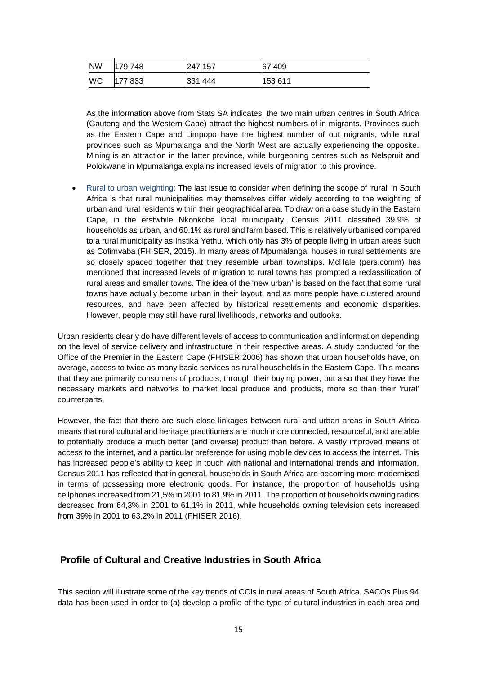| <b>NW</b> | 179 748 | 247 157 | 67409   |
|-----------|---------|---------|---------|
| WC        | 177 833 | 331 444 | 153 611 |

As the information above from Stats SA indicates, the two main urban centres in South Africa (Gauteng and the Western Cape) attract the highest numbers of in migrants. Provinces such as the Eastern Cape and Limpopo have the highest number of out migrants, while rural provinces such as Mpumalanga and the North West are actually experiencing the opposite. Mining is an attraction in the latter province, while burgeoning centres such as Nelspruit and Polokwane in Mpumalanga explains increased levels of migration to this province.

• Rural to urban weighting: The last issue to consider when defining the scope of 'rural' in South Africa is that rural municipalities may themselves differ widely according to the weighting of urban and rural residents within their geographical area. To draw on a case study in the Eastern Cape, in the erstwhile Nkonkobe local municipality, Census 2011 classified 39.9% of households as urban, and 60.1% as rural and farm based. This is relatively urbanised compared to a rural municipality as Instika Yethu, which only has 3% of people living in urban areas such as Cofimvaba (FHISER, 2015). In many areas of Mpumalanga, houses in rural settlements are so closely spaced together that they resemble urban townships. McHale (pers.comm) has mentioned that increased levels of migration to rural towns has prompted a reclassification of rural areas and smaller towns. The idea of the 'new urban' is based on the fact that some rural towns have actually become urban in their layout, and as more people have clustered around resources, and have been affected by historical resettlements and economic disparities. However, people may still have rural livelihoods, networks and outlooks.

Urban residents clearly do have different levels of access to communication and information depending on the level of service delivery and infrastructure in their respective areas. A study conducted for the Office of the Premier in the Eastern Cape (FHISER 2006) has shown that urban households have, on average, access to twice as many basic services as rural households in the Eastern Cape. This means that they are primarily consumers of products, through their buying power, but also that they have the necessary markets and networks to market local produce and products, more so than their 'rural' counterparts.

However, the fact that there are such close linkages between rural and urban areas in South Africa means that rural cultural and heritage practitioners are much more connected, resourceful, and are able to potentially produce a much better (and diverse) product than before. A vastly improved means of access to the internet, and a particular preference for using mobile devices to access the internet. This has increased people's ability to keep in touch with national and international trends and information. Census 2011 has reflected that in general, households in South Africa are becoming more modernised in terms of possessing more electronic goods. For instance, the proportion of households using cellphones increased from 21,5% in 2001 to 81,9% in 2011. The proportion of households owning radios decreased from 64,3% in 2001 to 61,1% in 2011, while households owning television sets increased from 39% in 2001 to 63,2% in 2011 (FHISER 2016).

#### <span id="page-14-0"></span>**Profile of Cultural and Creative Industries in South Africa**

This section will illustrate some of the key trends of CCIs in rural areas of South Africa. SACOs Plus 94 data has been used in order to (a) develop a profile of the type of cultural industries in each area and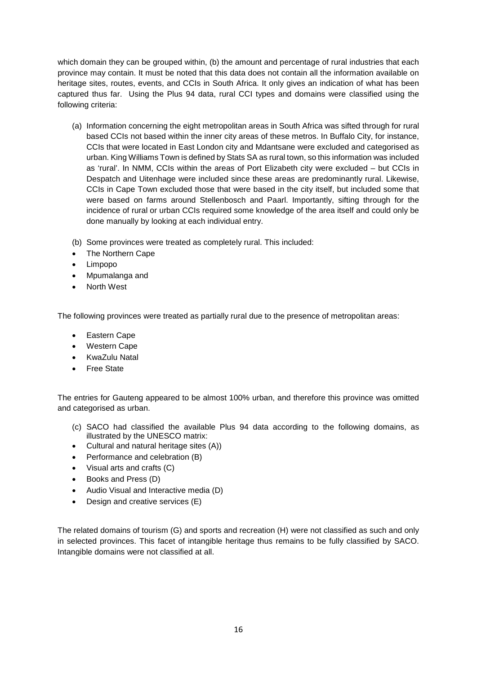which domain they can be grouped within, (b) the amount and percentage of rural industries that each province may contain. It must be noted that this data does not contain all the information available on heritage sites, routes, events, and CCIs in South Africa. It only gives an indication of what has been captured thus far. Using the Plus 94 data, rural CCI types and domains were classified using the following criteria:

- (a) Information concerning the eight metropolitan areas in South Africa was sifted through for rural based CCIs not based within the inner city areas of these metros. In Buffalo City, for instance, CCIs that were located in East London city and Mdantsane were excluded and categorised as urban. King Williams Town is defined by Stats SA as rural town, so this information was included as 'rural'. In NMM, CCIs within the areas of Port Elizabeth city were excluded – but CCIs in Despatch and Uitenhage were included since these areas are predominantly rural. Likewise, CCIs in Cape Town excluded those that were based in the city itself, but included some that were based on farms around Stellenbosch and Paarl. Importantly, sifting through for the incidence of rural or urban CCIs required some knowledge of the area itself and could only be done manually by looking at each individual entry.
- (b) Some provinces were treated as completely rural. This included:
- The Northern Cape
- Limpopo
- Mpumalanga and
- **North West**

The following provinces were treated as partially rural due to the presence of metropolitan areas:

- Eastern Cape
- Western Cape
- KwaZulu Natal
- Free State

The entries for Gauteng appeared to be almost 100% urban, and therefore this province was omitted and categorised as urban.

- (c) SACO had classified the available Plus 94 data according to the following domains, as illustrated by the UNESCO matrix:
- Cultural and natural heritage sites (A))
- Performance and celebration (B)
- Visual arts and crafts (C)
- Books and Press (D)
- Audio Visual and Interactive media (D)
- Design and creative services (E)

The related domains of tourism (G) and sports and recreation (H) were not classified as such and only in selected provinces. This facet of intangible heritage thus remains to be fully classified by SACO. Intangible domains were not classified at all.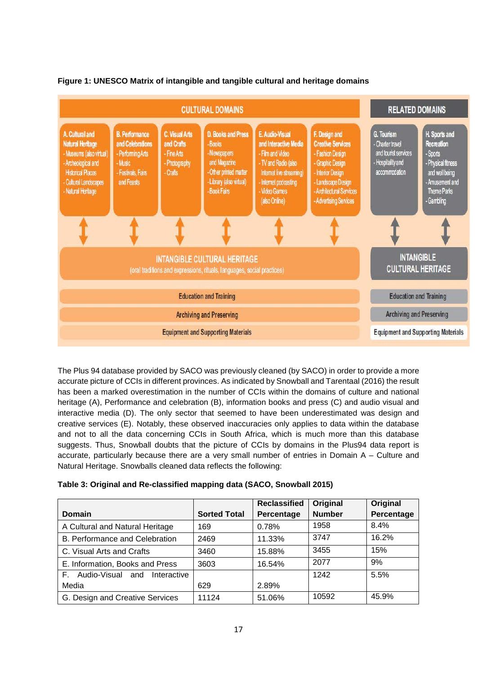



The Plus 94 database provided by SACO was previously cleaned (by SACO) in order to provide a more accurate picture of CCIs in different provinces. As indicated by Snowball and Tarentaal (2016) the result has been a marked overestimation in the number of CCIs within the domains of culture and national heritage (A), Performance and celebration (B), information books and press (C) and audio visual and interactive media (D). The only sector that seemed to have been underestimated was design and creative services (E). Notably, these observed inaccuracies only applies to data within the database and not to all the data concerning CCIs in South Africa, which is much more than this database suggests. Thus, Snowball doubts that the picture of CCIs by domains in the Plus94 data report is accurate, particularly because there are a very small number of entries in Domain A – Culture and Natural Heritage. Snowballs cleaned data reflects the following:

| Table 3: Original and Re-classified mapping data (SACO, Snowball 2015) |  |  |
|------------------------------------------------------------------------|--|--|
|------------------------------------------------------------------------|--|--|

|                                       |                     | <b>Reclassified</b> | Original      | Original   |
|---------------------------------------|---------------------|---------------------|---------------|------------|
| Domain                                | <b>Sorted Total</b> | Percentage          | <b>Number</b> | Percentage |
| A Cultural and Natural Heritage       | 169                 | 0.78%               | 1958          | 8.4%       |
| <b>B. Performance and Celebration</b> | 2469                | 11.33%              | 3747          | 16.2%      |
| C. Visual Arts and Crafts             | 3460                | 15.88%              | 3455          | 15%        |
| E. Information, Books and Press       | 3603                | 16.54%              | 2077          | 9%         |
| F. Audio-Visual<br>Interactive<br>and |                     |                     | 1242          | 5.5%       |
| Media                                 | 629                 | 2.89%               |               |            |
| G. Design and Creative Services       | 11124               | 51.06%              | 10592         | 45.9%      |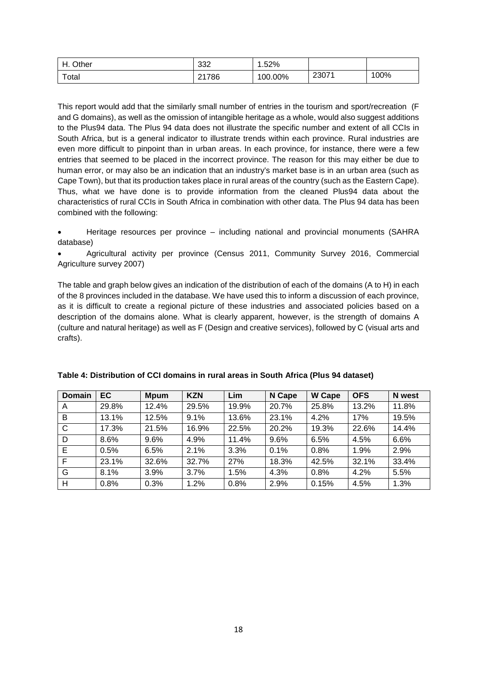| Other<br>$\Box$<br>-   | ാറ<br>∠دد | .52%    |       |      |
|------------------------|-----------|---------|-------|------|
| $\tau$ <sub>otal</sub> | 21786     | 100.00% | 23071 | 100% |

This report would add that the similarly small number of entries in the tourism and sport/recreation (F and G domains), as well as the omission of intangible heritage as a whole, would also suggest additions to the Plus94 data. The Plus 94 data does not illustrate the specific number and extent of all CCIs in South Africa, but is a general indicator to illustrate trends within each province. Rural industries are even more difficult to pinpoint than in urban areas. In each province, for instance, there were a few entries that seemed to be placed in the incorrect province. The reason for this may either be due to human error, or may also be an indication that an industry's market base is in an urban area (such as Cape Town), but that its production takes place in rural areas of the country (such as the Eastern Cape). Thus, what we have done is to provide information from the cleaned Plus94 data about the characteristics of rural CCIs in South Africa in combination with other data. The Plus 94 data has been combined with the following:

• Heritage resources per province – including national and provincial monuments (SAHRA database)

• Agricultural activity per province (Census 2011, Community Survey 2016, Commercial Agriculture survey 2007)

The table and graph below gives an indication of the distribution of each of the domains (A to H) in each of the 8 provinces included in the database. We have used this to inform a discussion of each province, as it is difficult to create a regional picture of these industries and associated policies based on a description of the domains alone. What is clearly apparent, however, is the strength of domains A (culture and natural heritage) as well as F (Design and creative services), followed by C (visual arts and crafts).

| <b>Domain</b> | <b>EC</b> | <b>Mpum</b> | <b>KZN</b> | Lim   | N Cape | <b>W</b> Cape | <b>OFS</b> | N west |
|---------------|-----------|-------------|------------|-------|--------|---------------|------------|--------|
| A             | 29.8%     | 12.4%       | 29.5%      | 19.9% | 20.7%  | 25.8%         | 13.2%      | 11.8%  |
| B             | 13.1%     | 12.5%       | 9.1%       | 13.6% | 23.1%  | 4.2%          | 17%        | 19.5%  |
| C             | 17.3%     | 21.5%       | 16.9%      | 22.5% | 20.2%  | 19.3%         | 22.6%      | 14.4%  |
| D             | 8.6%      | 9.6%        | 4.9%       | 11.4% | 9.6%   | 6.5%          | 4.5%       | 6.6%   |
| Е             | 0.5%      | 6.5%        | 2.1%       | 3.3%  | 0.1%   | 0.8%          | 1.9%       | 2.9%   |
| F             | 23.1%     | 32.6%       | 32.7%      | 27%   | 18.3%  | 42.5%         | 32.1%      | 33.4%  |
| G             | 8.1%      | 3.9%        | 3.7%       | 1.5%  | 4.3%   | 0.8%          | 4.2%       | 5.5%   |
| H             | 0.8%      | 0.3%        | 1.2%       | 0.8%  | 2.9%   | 0.15%         | 4.5%       | 1.3%   |

| Table 4: Distribution of CCI domains in rural areas in South Africa (Plus 94 dataset) |  |
|---------------------------------------------------------------------------------------|--|
|---------------------------------------------------------------------------------------|--|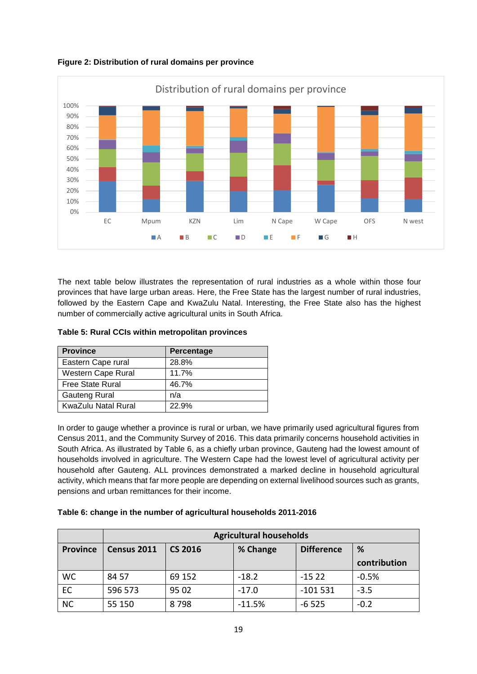



The next table below illustrates the representation of rural industries as a whole within those four provinces that have large urban areas. Here, the Free State has the largest number of rural industries, followed by the Eastern Cape and KwaZulu Natal. Interesting, the Free State also has the highest number of commercially active agricultural units in South Africa.

| Table 5: Rural CCIs within metropolitan provinces |  |  |  |  |  |
|---------------------------------------------------|--|--|--|--|--|
|---------------------------------------------------|--|--|--|--|--|

| <b>Province</b>         | Percentage |
|-------------------------|------------|
| Eastern Cape rural      | 28.8%      |
| Western Cape Rural      | 11.7%      |
| <b>Free State Rural</b> | 46.7%      |
| <b>Gauteng Rural</b>    | n/a        |
| KwaZulu Natal Rural     | 22.9%      |

In order to gauge whether a province is rural or urban, we have primarily used agricultural figures from Census 2011, and the Community Survey of 2016. This data primarily concerns household activities in South Africa. As illustrated by Table 6, as a chiefly urban province, Gauteng had the lowest amount of households involved in agriculture. The Western Cape had the lowest level of agricultural activity per household after Gauteng. ALL provinces demonstrated a marked decline in household agricultural activity, which means that far more people are depending on external livelihood sources such as grants, pensions and urban remittances for their income.

#### **Table 6: change in the number of agricultural households 2011-2016**

|                 | <b>Agricultural households</b> |                |          |                   |              |  |  |
|-----------------|--------------------------------|----------------|----------|-------------------|--------------|--|--|
| <b>Province</b> | Census 2011                    | <b>CS 2016</b> | % Change | <b>Difference</b> | %            |  |  |
|                 |                                |                |          |                   | contribution |  |  |
| <b>WC</b>       | 84 57                          | 69 152         | $-18.2$  | $-1522$           | $-0.5%$      |  |  |
| EC              | 596 573                        | 95 02          | $-17.0$  | $-101531$         | $-3.5$       |  |  |
| <b>NC</b>       | 55 150                         | 8798           | $-11.5%$ | $-6525$           | $-0.2$       |  |  |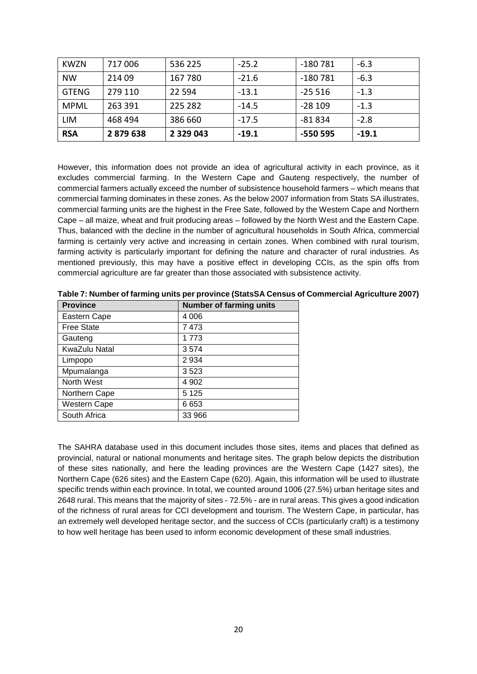| KWZN         | 717006  | 536 225       | $-25.2$ | -180 781 | $-6.3$  |
|--------------|---------|---------------|---------|----------|---------|
| <b>NW</b>    | 214 09  | 167 780       | $-21.6$ | -180 781 | $-6.3$  |
| <b>GTENG</b> | 279 110 | 22 5 94       | $-13.1$ | $-25516$ | $-1.3$  |
| <b>MPML</b>  | 263 391 | 225 282       | $-14.5$ | $-28109$ | $-1.3$  |
| LIM          | 468 494 | 386 660       | $-17.5$ | $-81834$ | $-2.8$  |
| <b>RSA</b>   | 2879638 | 2 3 2 9 0 4 3 | $-19.1$ | -550 595 | $-19.1$ |

However, this information does not provide an idea of agricultural activity in each province, as it excludes commercial farming. In the Western Cape and Gauteng respectively, the number of commercial farmers actually exceed the number of subsistence household farmers – which means that commercial farming dominates in these zones. As the below 2007 information from Stats SA illustrates, commercial farming units are the highest in the Free Sate, followed by the Western Cape and Northern Cape – all maize, wheat and fruit producing areas – followed by the North West and the Eastern Cape. Thus, balanced with the decline in the number of agricultural households in South Africa, commercial farming is certainly very active and increasing in certain zones. When combined with rural tourism, farming activity is particularly important for defining the nature and character of rural industries. As mentioned previously, this may have a positive effect in developing CCIs, as the spin offs from commercial agriculture are far greater than those associated with subsistence activity.

| <b>Province</b>   | <b>Number of farming units</b> |
|-------------------|--------------------------------|
| Eastern Cape      | 4 0 0 6                        |
| <b>Free State</b> | 7473                           |
| Gauteng           | 1773                           |
| KwaZulu Natal     | 3574                           |
| Limpopo           | 2934                           |
| Mpumalanga        | 3523                           |
| North West        | 4 902                          |
| Northern Cape     | 5 1 2 5                        |
| Western Cape      | 6653                           |
| South Africa      | 33 966                         |

**Table 7: Number of farming units per province (StatsSA Census of Commercial Agriculture 2007)**

The SAHRA database used in this document includes those sites, items and places that defined as provincial, natural or national monuments and heritage sites. The graph below depicts the distribution of these sites nationally, and here the leading provinces are the Western Cape (1427 sites), the Northern Cape (626 sites) and the Eastern Cape (620). Again, this information will be used to illustrate specific trends within each province. In total, we counted around 1006 (27.5%) urban heritage sites and 2648 rural. This means that the majority of sites - 72.5% - are in rural areas. This gives a good indication of the richness of rural areas for CCI development and tourism. The Western Cape, in particular, has an extremely well developed heritage sector, and the success of CCIs (particularly craft) is a testimony to how well heritage has been used to inform economic development of these small industries.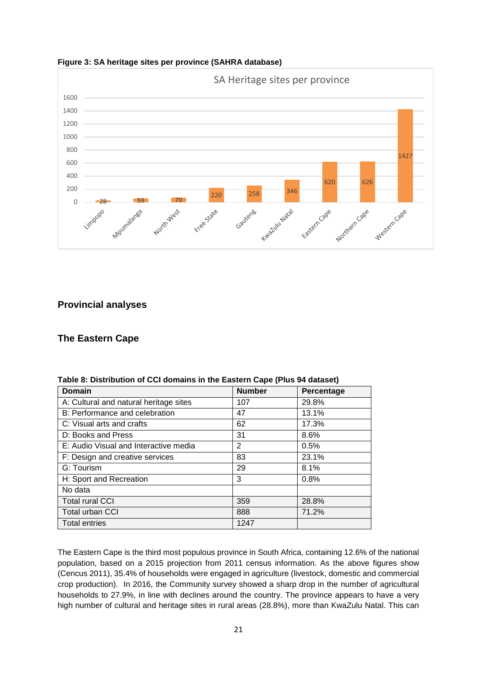

**Figure 3: SA heritage sites per province (SAHRA database)**

# <span id="page-20-0"></span>**Provincial analyses**

### <span id="page-20-1"></span>**The Eastern Cape**

| <b>Domain</b>                          | <b>Number</b> | Percentage |
|----------------------------------------|---------------|------------|
| A: Cultural and natural heritage sites | 107           | 29.8%      |
| B: Performance and celebration         | 47            | 13.1%      |
| C: Visual arts and crafts              | 62            | 17.3%      |
| D: Books and Press                     | 31            | 8.6%       |
| E: Audio Visual and Interactive media  | 2             | 0.5%       |
| F: Design and creative services        | 83            | 23.1%      |
| G: Tourism                             | 29            | 8.1%       |
| H: Sport and Recreation                | 3             | 0.8%       |
| No data                                |               |            |
| <b>Total rural CCI</b>                 | 359           | 28.8%      |
| <b>Total urban CCI</b>                 | 888           | 71.2%      |
| <b>Total entries</b>                   | 1247          |            |

**Table 8: Distribution of CCI domains in the Eastern Cape (Plus 94 dataset)**

The Eastern Cape is the third most populous province in South Africa, containing 12.6% of the national population, based on a 2015 projection from 2011 census information. As the above figures show (Cencus 2011), 35.4% of households were engaged in agriculture (livestock, domestic and commercial crop production). In 2016, the Community survey showed a sharp drop in the number of agricultural households to 27.9%, in line with declines around the country. The province appears to have a very high number of cultural and heritage sites in rural areas (28.8%), more than KwaZulu Natal. This can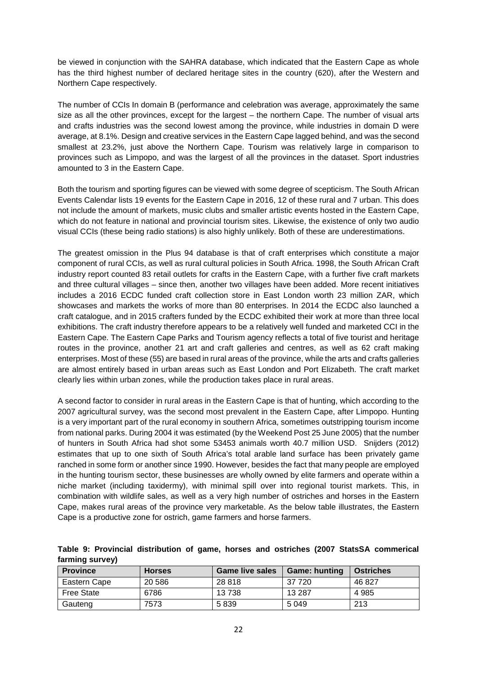be viewed in conjunction with the SAHRA database, which indicated that the Eastern Cape as whole has the third highest number of declared heritage sites in the country (620), after the Western and Northern Cape respectively.

The number of CCIs In domain B (performance and celebration was average, approximately the same size as all the other provinces, except for the largest – the northern Cape. The number of visual arts and crafts industries was the second lowest among the province, while industries in domain D were average, at 8.1%. Design and creative services in the Eastern Cape lagged behind, and was the second smallest at 23.2%, just above the Northern Cape. Tourism was relatively large in comparison to provinces such as Limpopo, and was the largest of all the provinces in the dataset. Sport industries amounted to 3 in the Eastern Cape.

Both the tourism and sporting figures can be viewed with some degree of scepticism. The South African Events Calendar lists 19 events for the Eastern Cape in 2016, 12 of these rural and 7 urban. This does not include the amount of markets, music clubs and smaller artistic events hosted in the Eastern Cape, which do not feature in national and provincial tourism sites. Likewise, the existence of only two audio visual CCIs (these being radio stations) is also highly unlikely. Both of these are underestimations.

The greatest omission in the Plus 94 database is that of craft enterprises which constitute a major component of rural CCIs, as well as rural cultural policies in South Africa. 1998, the South African Craft industry report counted 83 retail outlets for crafts in the Eastern Cape, with a further five craft markets and three cultural villages – since then, another two villages have been added. More recent initiatives includes a 2016 ECDC funded craft collection store in East London worth 23 million ZAR, which showcases and markets the works of more than 80 enterprises. In 2014 the ECDC also launched a craft catalogue, and in 2015 crafters funded by the ECDC exhibited their work at more than three local exhibitions. The craft industry therefore appears to be a relatively well funded and marketed CCI in the Eastern Cape. The Eastern Cape Parks and Tourism agency reflects a total of five tourist and heritage routes in the province, another 21 art and craft galleries and centres, as well as 62 craft making enterprises. Most of these (55) are based in rural areas of the province, while the arts and crafts galleries are almost entirely based in urban areas such as East London and Port Elizabeth. The craft market clearly lies within urban zones, while the production takes place in rural areas.

A second factor to consider in rural areas in the Eastern Cape is that of hunting, which according to the 2007 agricultural survey, was the second most prevalent in the Eastern Cape, after Limpopo. Hunting is a very important part of the rural economy in southern Africa, sometimes outstripping tourism income from national parks. During 2004 it was estimated (by the Weekend Post 25 June 2005) that the number of hunters in South Africa had shot some 53453 animals worth 40.7 million USD. Snijders (2012) estimates that up to one sixth of South Africa's total arable land surface has been privately game ranched in some form or another since 1990. However, besides the fact that many people are employed in the hunting tourism sector, these businesses are wholly owned by elite farmers and operate within a niche market (including taxidermy), with minimal spill over into regional tourist markets. This, in combination with wildlife sales, as well as a very high number of ostriches and horses in the Eastern Cape, makes rural areas of the province very marketable. As the below table illustrates, the Eastern Cape is a productive zone for ostrich, game farmers and horse farmers.

|                 | Table 9: Provincial distribution of game, horses and ostriches (2007 StatsSA commerical |  |  |  |  |
|-----------------|-----------------------------------------------------------------------------------------|--|--|--|--|
| farming survey) |                                                                                         |  |  |  |  |

| <b>Province</b>   | <b>Horses</b> | <b>Game live sales</b> | <b>Game: hunting</b> | <b>Ostriches</b> |
|-------------------|---------------|------------------------|----------------------|------------------|
| Eastern Cape      | 20 5 86       | 28 818                 | 37 720               | 46 827           |
| <b>Free State</b> | 6786          | 13738                  | 13 2 8 7             | 4 985            |
| Gauteng           | 7573          | 5839                   | 5 0 4 9              | 213              |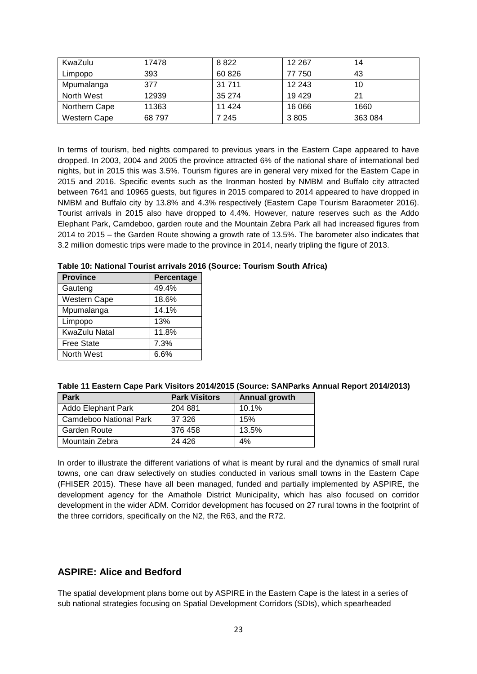| KwaZulu       | 17478 | 8822    | 12 2 6 7 | 14      |
|---------------|-------|---------|----------|---------|
| Limpopo       | 393   | 60 826  | 77 750   | 43      |
| Mpumalanga    | 377   | 31 7 11 | 12 2 4 3 | 10      |
| North West    | 12939 | 35 274  | 19429    | 21      |
| Northern Cape | 11363 | 11 4 24 | 16 066   | 1660    |
| Western Cape  | 68797 | 7 2 4 5 | 3805     | 363 084 |

In terms of tourism, bed nights compared to previous years in the Eastern Cape appeared to have dropped. In 2003, 2004 and 2005 the province attracted 6% of the national share of international bed nights, but in 2015 this was 3.5%. Tourism figures are in general very mixed for the Eastern Cape in 2015 and 2016. Specific events such as the Ironman hosted by NMBM and Buffalo city attracted between 7641 and 10965 guests, but figures in 2015 compared to 2014 appeared to have dropped in NMBM and Buffalo city by 13.8% and 4.3% respectively (Eastern Cape Tourism Baraometer 2016). Tourist arrivals in 2015 also have dropped to 4.4%. However, nature reserves such as the Addo Elephant Park, Camdeboo, garden route and the Mountain Zebra Park all had increased figures from 2014 to 2015 – the Garden Route showing a growth rate of 13.5%. The barometer also indicates that 3.2 million domestic trips were made to the province in 2014, nearly tripling the figure of 2013.

#### **Table 10: National Tourist arrivals 2016 (Source: Tourism South Africa)**

| <b>Province</b>      | Percentage |
|----------------------|------------|
| Gauteng              | 49.4%      |
| <b>Western Cape</b>  | 18.6%      |
| Mpumalanga           | 14.1%      |
| Limpopo              | 13%        |
| <b>KwaZulu Natal</b> | 11.8%      |
| <b>Free State</b>    | 7.3%       |
| North West           | 6.6%       |

| Table 11 Eastern Cape Park Visitors 2014/2015 (Source: SANParks Annual Report 2014/2013) |  |
|------------------------------------------------------------------------------------------|--|
|------------------------------------------------------------------------------------------|--|

| <b>Park</b>               | <b>Park Visitors</b> | Annual growth |
|---------------------------|----------------------|---------------|
| <b>Addo Elephant Park</b> | 204 881              | 10.1%         |
| Camdeboo National Park    | 37 326               | 15%           |
| <b>Garden Route</b>       | 376 458              | 13.5%         |
| Mountain Zebra            | 24 4 26              | 4%            |

In order to illustrate the different variations of what is meant by rural and the dynamics of small rural towns, one can draw selectively on studies conducted in various small towns in the Eastern Cape (FHISER 2015). These have all been managed, funded and partially implemented by ASPIRE, the development agency for the Amathole District Municipality, which has also focused on corridor development in the wider ADM. Corridor development has focused on 27 rural towns in the footprint of the three corridors, specifically on the N2, the R63, and the R72.

#### <span id="page-22-0"></span>**ASPIRE: Alice and Bedford**

The spatial development plans borne out by ASPIRE in the Eastern Cape is the latest in a series of sub national strategies focusing on Spatial Development Corridors (SDIs), which spearheaded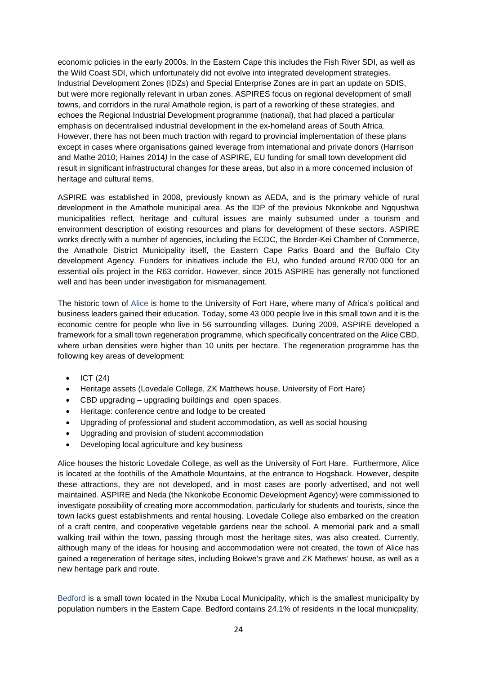economic policies in the early 2000s. In the Eastern Cape this includes the Fish River SDI, as well as the Wild Coast SDI, which unfortunately did not evolve into integrated development strategies. Industrial Development Zones (IDZs) and Special Enterprise Zones are in part an update on SDIS, but were more regionally relevant in urban zones. ASPIRES focus on regional development of small towns, and corridors in the rural Amathole region, is part of a reworking of these strategies, and echoes the Regional Industrial Development programme (national), that had placed a particular emphasis on decentralised industrial development in the ex-homeland areas of South Africa. However, there has not been much traction with regard to provincial implementation of these plans except in cases where organisations gained leverage from international and private donors (Harrison and Mathe 2010; Haines 2014*)* In the case of ASPIRE, EU funding for small town development did result in significant infrastructural changes for these areas, but also in a more concerned inclusion of heritage and cultural items.

ASPIRE was established in 2008, previously known as AEDA, and is the primary vehicle of rural development in the Amathole municipal area. As the IDP of the previous Nkonkobe and Ngqushwa municipalities reflect, heritage and cultural issues are mainly subsumed under a tourism and environment description of existing resources and plans for development of these sectors. ASPIRE works directly with a number of agencies, including the ECDC, the Border-Kei Chamber of Commerce, the Amathole District Municipality itself, the Eastern Cape Parks Board and the Buffalo City development Agency. Funders for initiatives include the EU, who funded around R700 000 for an essential oils project in the R63 corridor. However, since 2015 ASPIRE has generally not functioned well and has been under investigation for mismanagement.

The historic town of Alice is home to the University of Fort Hare, where many of Africa's political and business leaders gained their education. Today, some 43 000 people live in this small town and it is the economic centre for people who live in 56 surrounding villages. During 2009, ASPIRE developed a framework for a small town regeneration programme, which specifically concentrated on the Alice CBD, where urban densities were higher than 10 units per hectare. The regeneration programme has the following key areas of development:

- ICT (24)
- Heritage assets (Lovedale College, ZK Matthews house, University of Fort Hare)
- CBD upgrading upgrading buildings and open spaces.
- Heritage: conference centre and lodge to be created
- Upgrading of professional and student accommodation, as well as social housing
- Upgrading and provision of student accommodation
- Developing local agriculture and key business

Alice houses the historic Lovedale College, as well as the University of Fort Hare. Furthermore, Alice is located at the foothills of the Amathole Mountains, at the entrance to Hogsback. However, despite these attractions, they are not developed, and in most cases are poorly advertised, and not well maintained. ASPIRE and Neda (the Nkonkobe Economic Development Agency) were commissioned to investigate possibility of creating more accommodation, particularly for students and tourists, since the town lacks guest establishments and rental housing. Lovedale College also embarked on the creation of a craft centre, and cooperative vegetable gardens near the school. A memorial park and a small walking trail within the town, passing through most the heritage sites, was also created. Currently, although many of the ideas for housing and accommodation were not created, the town of Alice has gained a regeneration of heritage sites, including Bokwe's grave and ZK Mathews' house, as well as a new heritage park and route.

Bedford is a small town located in the Nxuba Local Municipality, which is the smallest municipality by population numbers in the Eastern Cape. Bedford contains 24.1% of residents in the local municpality,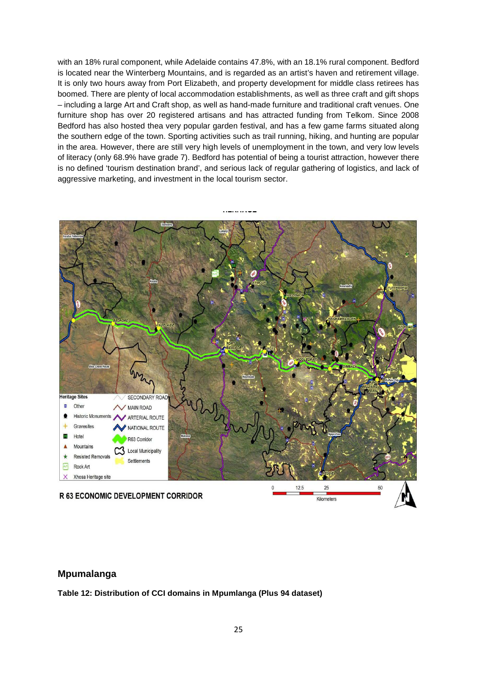with an 18% rural component, while Adelaide contains 47.8%, with an 18.1% rural component. Bedford is located near the Winterberg Mountains, and is regarded as an artist's haven and retirement village. It is only two hours away from Port Elizabeth, and property development for middle class retirees has boomed. There are plenty of local accommodation establishments, as well as three craft and gift shops – including a large Art and Craft shop, as well as hand-made furniture and traditional craft venues. One furniture shop has over 20 registered artisans and has attracted funding from Telkom. Since 2008 Bedford has also hosted thea very popular garden festival, and has a few game farms situated along the southern edge of the town. Sporting activities such as trail running, hiking, and hunting are popular in the area. However, there are still very high levels of unemployment in the town, and very low levels of literacy (only 68.9% have grade 7). Bedford has potential of being a tourist attraction, however there is no defined 'tourism destination brand', and serious lack of regular gathering of logistics, and lack of aggressive marketing, and investment in the local tourism sector.



#### <span id="page-24-0"></span>**Mpumalanga**

**Table 12: Distribution of CCI domains in Mpumlanga (Plus 94 dataset)**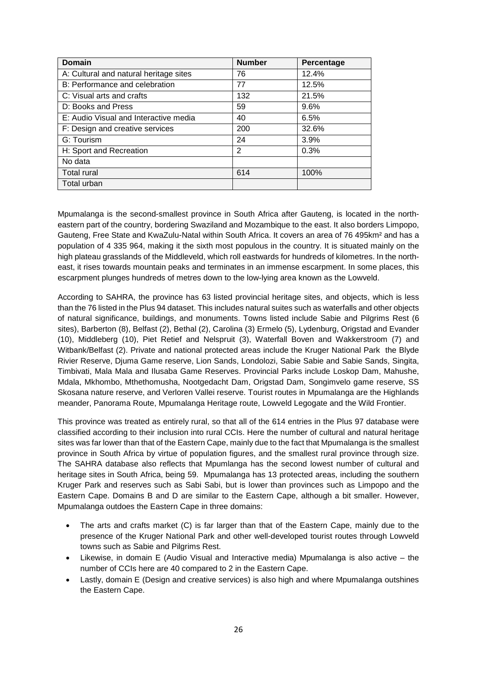| <b>Domain</b>                          | <b>Number</b> | Percentage |
|----------------------------------------|---------------|------------|
| A: Cultural and natural heritage sites | 76            | 12.4%      |
| B: Performance and celebration         | 77            | 12.5%      |
| C: Visual arts and crafts              | 132           | 21.5%      |
| D: Books and Press                     | 59            | 9.6%       |
| E: Audio Visual and Interactive media  | 40            | 6.5%       |
| F: Design and creative services        | 200           | 32.6%      |
| G: Tourism                             | 24            | 3.9%       |
| H: Sport and Recreation                | $\mathcal{P}$ | 0.3%       |
| No data                                |               |            |
| <b>Total rural</b>                     | 614           | 100%       |
| Total urban                            |               |            |

Mpumalanga is the second-smallest province in South Africa after Gauteng, is located in the northeastern part of the country, bordering Swaziland and Mozambique to the east. It also borders Limpopo, Gauteng, Free State and KwaZulu-Natal within South Africa. It covers an area of 76 495km² and has a population of 4 335 964, making it the sixth most populous in the country. It is situated mainly on the high plateau grasslands of the Middleveld, which roll eastwards for hundreds of kilometres. In the northeast, it rises towards mountain peaks and terminates in an immense escarpment. In some places, this escarpment plunges hundreds of metres down to the low-lying area known as the Lowveld.

According to SAHRA, the province has 63 listed provincial heritage sites, and objects, which is less than the 76 listed in the Plus 94 dataset. This includes natural suites such as waterfalls and other objects of natural significance, buildings, and monuments. Towns listed include Sabie and Pilgrims Rest (6 sites), Barberton (8), Belfast (2), Bethal (2), Carolina (3) Ermelo (5), Lydenburg, Origstad and Evander (10), Middleberg (10), Piet Retief and Nelspruit (3), Waterfall Boven and Wakkerstroom (7) and Witbank/Belfast (2). Private and national protected areas include the Kruger National Park the Blyde Rivier Reserve, Djuma Game reserve, Lion Sands, Londolozi, Sabie Sabie and Sabie Sands, Singita, Timbivati, Mala Mala and Ilusaba Game Reserves. Provincial Parks include Loskop Dam, Mahushe, Mdala, Mkhombo, Mthethomusha, Nootgedacht Dam, Origstad Dam, Songimvelo game reserve, SS Skosana nature reserve, and Verloren Vallei reserve. Tourist routes in Mpumalanga are the Highlands meander, Panorama Route, Mpumalanga Heritage route, Lowveld Legogate and the Wild Frontier.

This province was treated as entirely rural, so that all of the 614 entries in the Plus 97 database were classified according to their inclusion into rural CCIs. Here the number of cultural and natural heritage sites was far lower than that of the Eastern Cape, mainly due to the fact that Mpumalanga is the smallest province in South Africa by virtue of population figures, and the smallest rural province through size. The SAHRA database also reflects that Mpumlanga has the second lowest number of cultural and heritage sites in South Africa, being 59. Mpumalanga has 13 protected areas, including the southern Kruger Park and reserves such as Sabi Sabi, but is lower than provinces such as Limpopo and the Eastern Cape. Domains B and D are similar to the Eastern Cape, although a bit smaller. However, Mpumalanga outdoes the Eastern Cape in three domains:

- The arts and crafts market (C) is far larger than that of the Eastern Cape, mainly due to the presence of the Kruger National Park and other well-developed tourist routes through Lowveld towns such as Sabie and Pilgrims Rest.
- Likewise, in domain E (Audio Visual and Interactive media) Mpumalanga is also active the number of CCIs here are 40 compared to 2 in the Eastern Cape.
- Lastly, domain E (Design and creative services) is also high and where Mpumalanga outshines the Eastern Cape.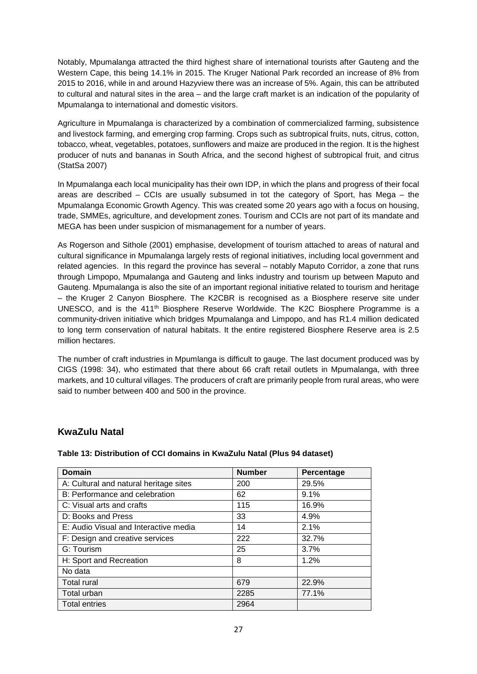Notably, Mpumalanga attracted the third highest share of international tourists after Gauteng and the Western Cape, this being 14.1% in 2015. The Kruger National Park recorded an increase of 8% from 2015 to 2016, while in and around Hazyview there was an increase of 5%. Again, this can be attributed to cultural and natural sites in the area – and the large craft market is an indication of the popularity of Mpumalanga to international and domestic visitors.

Agriculture in Mpumalanga is characterized by a combination of commercialized farming, subsistence and livestock farming, and emerging crop farming. Crops such as subtropical fruits, nuts, citrus, cotton, tobacco, wheat, vegetables, potatoes, sunflowers and maize are produced in the region. It is the highest producer of nuts and bananas in South Africa, and the second highest of subtropical fruit, and citrus (StatSa 2007)

In Mpumalanga each local municipality has their own IDP, in which the plans and progress of their focal areas are described – CCIs are usually subsumed in tot the category of Sport, has Mega – the Mpumalanga Economic Growth Agency. This was created some 20 years ago with a focus on housing, trade, SMMEs, agriculture, and development zones. Tourism and CCIs are not part of its mandate and MEGA has been under suspicion of mismanagement for a number of years.

As Rogerson and Sithole (2001) emphasise, development of tourism attached to areas of natural and cultural significance in Mpumalanga largely rests of regional initiatives, including local government and related agencies. In this regard the province has several – notably Maputo Corridor, a zone that runs through Limpopo, Mpumalanga and Gauteng and links industry and tourism up between Maputo and Gauteng. Mpumalanga is also the site of an important regional initiative related to tourism and heritage – the Kruger 2 Canyon Biosphere. The K2CBR is recognised as a Biosphere reserve site under UNESCO, and is the 411<sup>th</sup> Biosphere Reserve Worldwide. The K2C Biosphere Programme is a community-driven initiative which bridges Mpumalanga and Limpopo, and has R1.4 million dedicated to long term conservation of natural habitats. It the entire registered Biosphere Reserve area is 2.5 million hectares.

The number of craft industries in Mpumlanga is difficult to gauge. The last document produced was by CIGS (1998: 34), who estimated that there about 66 craft retail outlets in Mpumalanga, with three markets, and 10 cultural villages. The producers of craft are primarily people from rural areas, who were said to number between 400 and 500 in the province.

### <span id="page-26-0"></span>**KwaZulu Natal**

| <b>Domain</b>                          | <b>Number</b> | Percentage |
|----------------------------------------|---------------|------------|
| A: Cultural and natural heritage sites | 200           | 29.5%      |
| B: Performance and celebration         | 62            | 9.1%       |
| C: Visual arts and crafts              | 115           | 16.9%      |
| D: Books and Press                     | 33            | 4.9%       |
| E: Audio Visual and Interactive media  | 14            | 2.1%       |
| F: Design and creative services        | 222           | 32.7%      |
| G: Tourism                             | 25            | 3.7%       |
| H: Sport and Recreation                | 8             | 1.2%       |
| No data                                |               |            |
| <b>Total rural</b>                     | 679           | 22.9%      |
| Total urban                            | 2285          | 77.1%      |
| <b>Total entries</b>                   | 2964          |            |

**Table 13: Distribution of CCI domains in KwaZulu Natal (Plus 94 dataset)**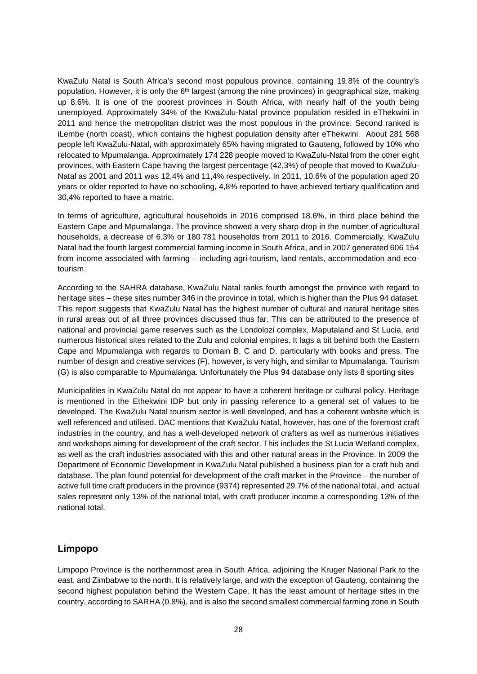KwaZulu Natal is South Africa's second most populous province, containing 19.8% of the country's population. However, it is only the 6<sup>th</sup> largest (among the nine provinces) in geographical size, making up 8.6%. It is one of the poorest provinces in South Africa, with nearly half of the youth being unemployed. Approximately 34% of the KwaZulu-Natal province population resided in eThekwini in 2011 and hence the metropolitan district was the most populous in the province. Second ranked is iLembe (north coast), which contains the highest population density after eThekwini. About 281 568 people left KwaZulu-Natal, with approximately 65% having migrated to Gauteng, followed by 10% who relocated to Mpumalanga. Approximately 174 228 people moved to KwaZulu-Natal from the other eight provinces, with Eastern Cape having the largest percentage (42,3%) of people that moved to KwaZulu-Natal as 2001 and 2011 was 12,4% and 11,4% respectively. In 2011, 10,6% of the population aged 20 years or older reported to have no schooling, 4,8% reported to have achieved tertiary qualification and 30,4% reported to have a matric.

In terms of agriculture, agricultural households in 2016 comprised 18.6%, in third place behind the Eastern Cape and Mpumalanga. The province showed a very sharp drop in the number of agricultural households, a decrease of 6.3% or 180 781 households from 2011 to 2016. Commercially, KwaZulu Natal had the fourth largest commercial farming income in South Africa, and in 2007 generated 606 154 from income associated with farming – including agri-tourism, land rentals, accommodation and ecotourism.

According to the SAHRA database, KwaZulu Natal ranks fourth amongst the province with regard to heritage sites – these sites number 346 in the province in total, which is higher than the Plus 94 dataset. This report suggests that KwaZulu Natal has the highest number of cultural and natural heritage sites in rural areas out of all three provinces discussed thus far. This can be attributed to the presence of national and provincial game reserves such as the Londolozi complex, Maputaland and St Lucia, and numerous historical sites related to the Zulu and colonial empires. It lags a bit behind both the Eastern Cape and Mpumalanga with regards to Domain B, C and D, particularly with books and press. The number of design and creative services (F), however, is very high, and similar to Mpumalanga. Tourism (G) is also comparable to Mpumalanga. Unfortunately the Plus 94 database only lists 8 sporting sites

Municipalities in KwaZulu Natal do not appear to have a coherent heritage or cultural policy. Heritage is mentioned in the Ethekwini IDP but only in passing reference to a general set of values to be developed. The KwaZulu Natal tourism sector is well developed, and has a coherent website which is well referenced and utilised. DAC mentions that KwaZulu Natal, however, has one of the foremost craft industries in the country, and has a well-developed network of crafters as well as numerous initiatives and workshops aiming for development of the craft sector. This includes the St Lucia Wetland complex, as well as the craft industries associated with this and other natural areas in the Province. In 2009 the Department of Economic Development in KwaZulu Natal published a business plan for a craft hub and database. The plan found potential for development of the craft market in the Province – the number of active full time craft producers in the province (9374) represented 29.7% of the national total, and actual sales represent only 13% of the national total, with craft producer income a corresponding 13% of the national total.

### <span id="page-27-0"></span>**Limpopo**

Limpopo Province is the northernmost area in South Africa, adjoining the Kruger National Park to the east, and Zimbabwe to the north. It is relatively large, and with the exception of Gauteng, containing the second highest population behind the Western Cape. It has the least amount of heritage sites in the country, according to SARHA (0.8%), and is also the second smallest commercial farming zone in South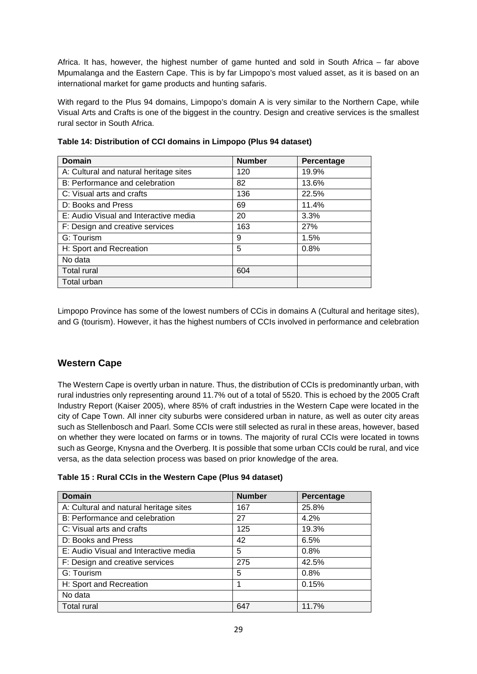Africa. It has, however, the highest number of game hunted and sold in South Africa – far above Mpumalanga and the Eastern Cape. This is by far Limpopo's most valued asset, as it is based on an international market for game products and hunting safaris.

With regard to the Plus 94 domains, Limpopo's domain A is very similar to the Northern Cape, while Visual Arts and Crafts is one of the biggest in the country. Design and creative services is the smallest rural sector in South Africa.

| <b>Domain</b>                          | <b>Number</b> | Percentage |
|----------------------------------------|---------------|------------|
| A: Cultural and natural heritage sites | 120           | 19.9%      |
| B: Performance and celebration         | 82            | 13.6%      |
| C: Visual arts and crafts              | 136           | 22.5%      |
| D: Books and Press                     | 69            | 11.4%      |
| E: Audio Visual and Interactive media  | 20            | 3.3%       |
| F: Design and creative services        | 163           | 27%        |
| G: Tourism                             | 9             | 1.5%       |
| H: Sport and Recreation                | 5             | 0.8%       |
| No data                                |               |            |
| <b>Total rural</b>                     | 604           |            |
| Total urban                            |               |            |

**Table 14: Distribution of CCI domains in Limpopo (Plus 94 dataset)**

Limpopo Province has some of the lowest numbers of CCis in domains A (Cultural and heritage sites), and G (tourism). However, it has the highest numbers of CCIs involved in performance and celebration

### <span id="page-28-0"></span>**Western Cape**

The Western Cape is overtly urban in nature. Thus, the distribution of CCIs is predominantly urban, with rural industries only representing around 11.7% out of a total of 5520. This is echoed by the 2005 Craft Industry Report (Kaiser 2005), where 85% of craft industries in the Western Cape were located in the city of Cape Town. All inner city suburbs were considered urban in nature, as well as outer city areas such as Stellenbosch and Paarl. Some CCIs were still selected as rural in these areas, however, based on whether they were located on farms or in towns. The majority of rural CCIs were located in towns such as George, Knysna and the Overberg. It is possible that some urban CCIs could be rural, and vice versa, as the data selection process was based on prior knowledge of the area.

|  |  |  | Table 15 : Rural CCIs in the Western Cape (Plus 94 dataset) |  |  |  |
|--|--|--|-------------------------------------------------------------|--|--|--|
|--|--|--|-------------------------------------------------------------|--|--|--|

| <b>Domain</b>                          | <b>Number</b> | Percentage |
|----------------------------------------|---------------|------------|
| A: Cultural and natural heritage sites | 167           | 25.8%      |
| B: Performance and celebration         | 27            | 4.2%       |
| C: Visual arts and crafts              | 125           | 19.3%      |
| D: Books and Press                     | 42            | 6.5%       |
| E: Audio Visual and Interactive media  | 5             | 0.8%       |
| F: Design and creative services        | 275           | 42.5%      |
| G: Tourism                             | 5             | 0.8%       |
| H: Sport and Recreation                |               | 0.15%      |
| No data                                |               |            |
| <b>Total rural</b>                     | 647           | 11.7%      |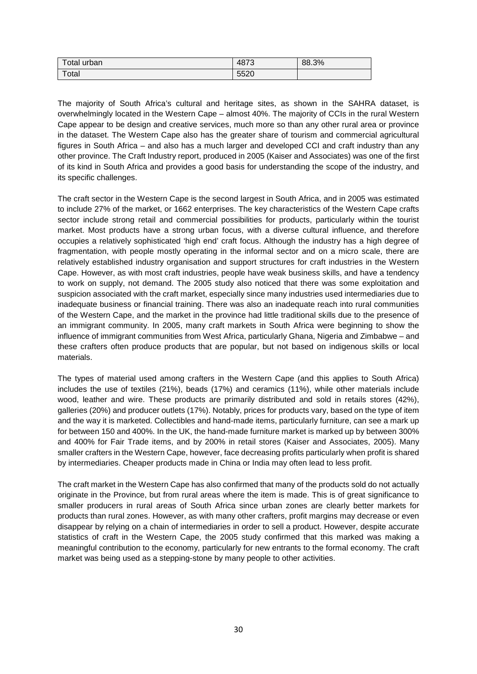| Total urban            | 4873 | 88.3% |
|------------------------|------|-------|
| $\tau$ <sub>otal</sub> | 5520 |       |

The majority of South Africa's cultural and heritage sites, as shown in the SAHRA dataset, is overwhelmingly located in the Western Cape – almost 40%. The majority of CCIs in the rural Western Cape appear to be design and creative services, much more so than any other rural area or province in the dataset. The Western Cape also has the greater share of tourism and commercial agricultural figures in South Africa – and also has a much larger and developed CCI and craft industry than any other province. The Craft Industry report, produced in 2005 (Kaiser and Associates) was one of the first of its kind in South Africa and provides a good basis for understanding the scope of the industry, and its specific challenges.

The craft sector in the Western Cape is the second largest in South Africa, and in 2005 was estimated to include 27% of the market, or 1662 enterprises. The key characteristics of the Western Cape crafts sector include strong retail and commercial possibilities for products, particularly within the tourist market. Most products have a strong urban focus, with a diverse cultural influence, and therefore occupies a relatively sophisticated 'high end' craft focus. Although the industry has a high degree of fragmentation, with people mostly operating in the informal sector and on a micro scale, there are relatively established industry organisation and support structures for craft industries in the Western Cape. However, as with most craft industries, people have weak business skills, and have a tendency to work on supply, not demand. The 2005 study also noticed that there was some exploitation and suspicion associated with the craft market, especially since many industries used intermediaries due to inadequate business or financial training. There was also an inadequate reach into rural communities of the Western Cape, and the market in the province had little traditional skills due to the presence of an immigrant community. In 2005, many craft markets in South Africa were beginning to show the influence of immigrant communities from West Africa, particularly Ghana, Nigeria and Zimbabwe – and these crafters often produce products that are popular, but not based on indigenous skills or local materials.

The types of material used among crafters in the Western Cape (and this applies to South Africa) includes the use of textiles (21%), beads (17%) and ceramics (11%), while other materials include wood, leather and wire. These products are primarily distributed and sold in retails stores (42%), galleries (20%) and producer outlets (17%). Notably, prices for products vary, based on the type of item and the way it is marketed. Collectibles and hand-made items, particularly furniture, can see a mark up for between 150 and 400%. In the UK, the hand-made furniture market is marked up by between 300% and 400% for Fair Trade items, and by 200% in retail stores (Kaiser and Associates, 2005). Many smaller crafters in the Western Cape, however, face decreasing profits particularly when profit is shared by intermediaries. Cheaper products made in China or India may often lead to less profit.

The craft market in the Western Cape has also confirmed that many of the products sold do not actually originate in the Province, but from rural areas where the item is made. This is of great significance to smaller producers in rural areas of South Africa since urban zones are clearly better markets for products than rural zones. However, as with many other crafters, profit margins may decrease or even disappear by relying on a chain of intermediaries in order to sell a product. However, despite accurate statistics of craft in the Western Cape, the 2005 study confirmed that this marked was making a meaningful contribution to the economy, particularly for new entrants to the formal economy. The craft market was being used as a stepping-stone by many people to other activities.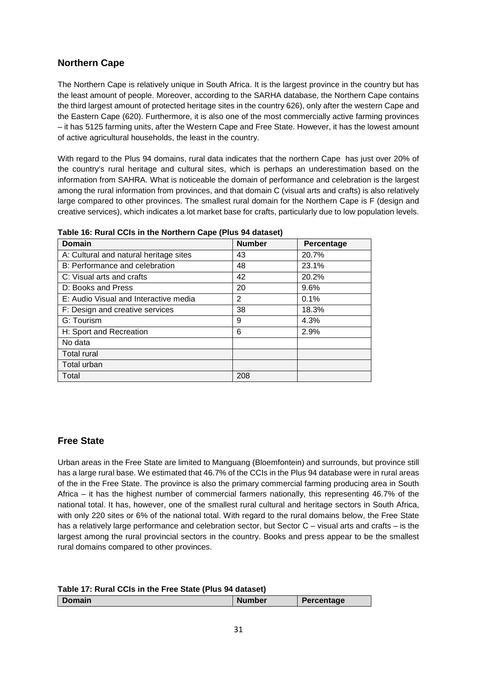# <span id="page-30-0"></span>**Northern Cape**

The Northern Cape is relatively unique in South Africa. It is the largest province in the country but has the least amount of people. Moreover, according to the SARHA database, the Northern Cape contains the third largest amount of protected heritage sites in the country 626), only after the western Cape and the Eastern Cape (620). Furthermore, it is also one of the most commercially active farming provinces – it has 5125 farming units, after the Western Cape and Free State. However, it has the lowest amount of active agricultural households, the least in the country.

With regard to the Plus 94 domains, rural data indicates that the northern Cape has just over 20% of the country's rural heritage and cultural sites, which is perhaps an underestimation based on the information from SAHRA. What is noticeable the domain of performance and celebration is the largest among the rural information from provinces, and that domain C (visual arts and crafts) is also relatively large compared to other provinces. The smallest rural domain for the Northern Cape is F (design and creative services), which indicates a lot market base for crafts, particularly due to low population levels.

| Domain                                 | <b>Number</b> | Percentage |
|----------------------------------------|---------------|------------|
| A: Cultural and natural heritage sites | 43            | 20.7%      |
| B: Performance and celebration         | 48            | 23.1%      |
| C: Visual arts and crafts              | 42            | 20.2%      |
| D: Books and Press                     | 20            | 9.6%       |
| E: Audio Visual and Interactive media  | 2             | 0.1%       |
| F: Design and creative services        | 38            | 18.3%      |
| G: Tourism                             | 9             | 4.3%       |
| H: Sport and Recreation                | 6             | 2.9%       |
| No data                                |               |            |
| <b>Total rural</b>                     |               |            |
| Total urban                            |               |            |
| Total                                  | 208           |            |

**Table 16: Rural CCIs in the Northern Cape (Plus 94 dataset)**

### <span id="page-30-1"></span>**Free State**

Urban areas in the Free State are limited to Manguang (Bloemfontein) and surrounds, but province still has a large rural base. We estimated that 46.7% of the CCIs in the Plus 94 database were in rural areas of the in the Free State. The province is also the primary commercial farming producing area in South Africa – it has the highest number of commercial farmers nationally, this representing 46.7% of the national total. It has, however, one of the smallest rural cultural and heritage sectors in South Africa, with only 220 sites or 6% of the national total. With regard to the rural domains below, the Free State has a relatively large performance and celebration sector, but Sector C – visual arts and crafts – is the largest among the rural provincial sectors in the country. Books and press appear to be the smallest rural domains compared to other provinces.

| Domain | <b>Number</b> | Percentage |
|--------|---------------|------------|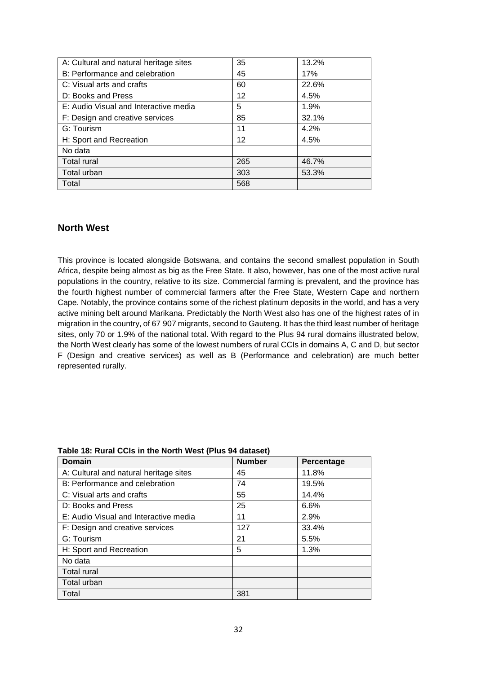| A: Cultural and natural heritage sites | 35                | 13.2% |
|----------------------------------------|-------------------|-------|
| B: Performance and celebration         | 45                | 17%   |
| C: Visual arts and crafts              | 60                | 22.6% |
| D: Books and Press                     | 12                | 4.5%  |
| E: Audio Visual and Interactive media  | 5                 | 1.9%  |
| F: Design and creative services        | 85                | 32.1% |
| G: Tourism                             | 11                | 4.2%  |
| H: Sport and Recreation                | $12 \overline{ }$ | 4.5%  |
| No data                                |                   |       |
| <b>Total rural</b>                     | 265               | 46.7% |
| Total urban                            | 303               | 53.3% |
| Total                                  | 568               |       |

#### <span id="page-31-0"></span>**North West**

This province is located alongside Botswana, and contains the second smallest population in South Africa, despite being almost as big as the Free State. It also, however, has one of the most active rural populations in the country, relative to its size. Commercial farming is prevalent, and the province has the fourth highest number of commercial farmers after the Free State, Western Cape and northern Cape. Notably, the province contains some of the richest platinum deposits in the world, and has a very active mining belt around Marikana. Predictably the North West also has one of the highest rates of in migration in the country, of 67 907 migrants, second to Gauteng. It has the third least number of heritage sites, only 70 or 1.9% of the national total. With regard to the Plus 94 rural domains illustrated below, the North West clearly has some of the lowest numbers of rural CCIs in domains A, C and D, but sector F (Design and creative services) as well as B (Performance and celebration) are much better represented rurally.

| <b>Domain</b>                          | <b>Number</b> | Percentage |
|----------------------------------------|---------------|------------|
| A: Cultural and natural heritage sites | 45            | 11.8%      |
| B: Performance and celebration         | 74            | 19.5%      |
| C: Visual arts and crafts              | 55            | 14.4%      |
| D: Books and Press                     | 25            | 6.6%       |
| E: Audio Visual and Interactive media  | 11            | 2.9%       |
| F: Design and creative services        | 127           | 33.4%      |
| G: Tourism                             | 21            | 5.5%       |
| H: Sport and Recreation                | 5             | 1.3%       |
| No data                                |               |            |
| <b>Total rural</b>                     |               |            |
| Total urban                            |               |            |
| Total                                  | 381           |            |

#### **Table 18: Rural CCIs in the North West (Plus 94 dataset)**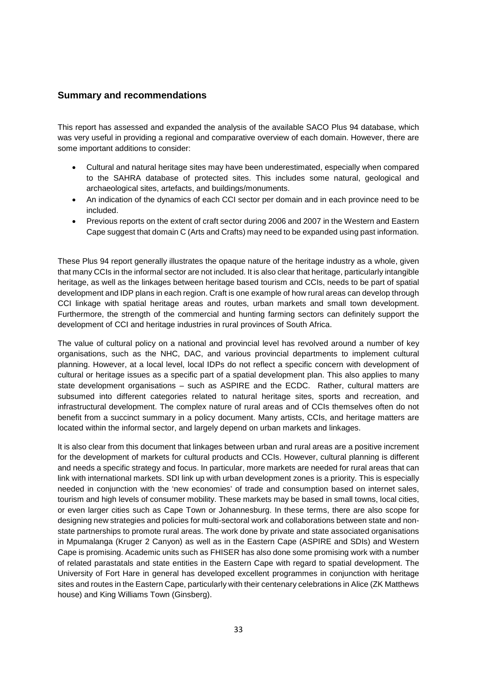#### <span id="page-32-0"></span>**Summary and recommendations**

This report has assessed and expanded the analysis of the available SACO Plus 94 database, which was very useful in providing a regional and comparative overview of each domain. However, there are some important additions to consider:

- Cultural and natural heritage sites may have been underestimated, especially when compared to the SAHRA database of protected sites. This includes some natural, geological and archaeological sites, artefacts, and buildings/monuments.
- An indication of the dynamics of each CCI sector per domain and in each province need to be included.
- Previous reports on the extent of craft sector during 2006 and 2007 in the Western and Eastern Cape suggest that domain C (Arts and Crafts) may need to be expanded using past information.

These Plus 94 report generally illustrates the opaque nature of the heritage industry as a whole, given that many CCIs in the informal sector are not included. It is also clear that heritage, particularly intangible heritage, as well as the linkages between heritage based tourism and CCIs, needs to be part of spatial development and IDP plans in each region. Craft is one example of how rural areas can develop through CCI linkage with spatial heritage areas and routes, urban markets and small town development. Furthermore, the strength of the commercial and hunting farming sectors can definitely support the development of CCI and heritage industries in rural provinces of South Africa.

The value of cultural policy on a national and provincial level has revolved around a number of key organisations, such as the NHC, DAC, and various provincial departments to implement cultural planning. However, at a local level, local IDPs do not reflect a specific concern with development of cultural or heritage issues as a specific part of a spatial development plan. This also applies to many state development organisations – such as ASPIRE and the ECDC. Rather, cultural matters are subsumed into different categories related to natural heritage sites, sports and recreation, and infrastructural development. The complex nature of rural areas and of CCIs themselves often do not benefit from a succinct summary in a policy document. Many artists, CCIs, and heritage matters are located within the informal sector, and largely depend on urban markets and linkages.

It is also clear from this document that linkages between urban and rural areas are a positive increment for the development of markets for cultural products and CCIs. However, cultural planning is different and needs a specific strategy and focus. In particular, more markets are needed for rural areas that can link with international markets. SDI link up with urban development zones is a priority. This is especially needed in conjunction with the 'new economies' of trade and consumption based on internet sales, tourism and high levels of consumer mobility. These markets may be based in small towns, local cities, or even larger cities such as Cape Town or Johannesburg. In these terms, there are also scope for designing new strategies and policies for multi-sectoral work and collaborations between state and nonstate partnerships to promote rural areas. The work done by private and state associated organisations in Mpumalanga (Kruger 2 Canyon) as well as in the Eastern Cape (ASPIRE and SDIs) and Western Cape is promising. Academic units such as FHISER has also done some promising work with a number of related parastatals and state entities in the Eastern Cape with regard to spatial development. The University of Fort Hare in general has developed excellent programmes in conjunction with heritage sites and routes in the Eastern Cape, particularly with their centenary celebrations in Alice (ZK Matthews house) and King Williams Town (Ginsberg).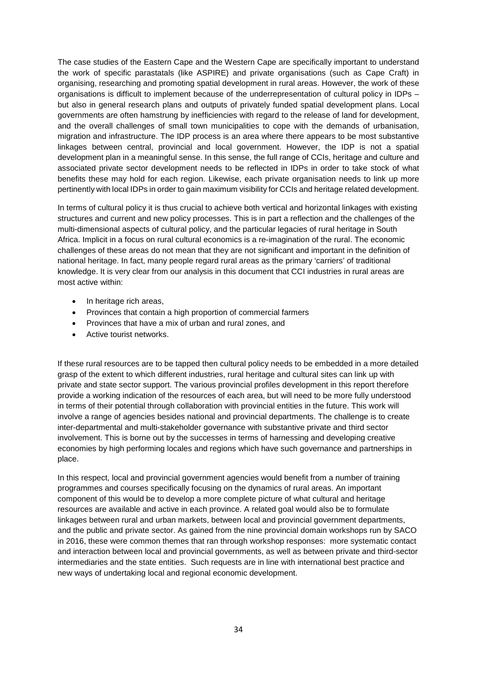The case studies of the Eastern Cape and the Western Cape are specifically important to understand the work of specific parastatals (like ASPIRE) and private organisations (such as Cape Craft) in organising, researching and promoting spatial development in rural areas. However, the work of these organisations is difficult to implement because of the underrepresentation of cultural policy in IDPs – but also in general research plans and outputs of privately funded spatial development plans. Local governments are often hamstrung by inefficiencies with regard to the release of land for development, and the overall challenges of small town municipalities to cope with the demands of urbanisation, migration and infrastructure. The IDP process is an area where there appears to be most substantive linkages between central, provincial and local government. However, the IDP is not a spatial development plan in a meaningful sense. In this sense, the full range of CCIs, heritage and culture and associated private sector development needs to be reflected in IDPs in order to take stock of what benefits these may hold for each region. Likewise, each private organisation needs to link up more pertinently with local IDPs in order to gain maximum visibility for CCIs and heritage related development.

In terms of cultural policy it is thus crucial to achieve both vertical and horizontal linkages with existing structures and current and new policy processes. This is in part a reflection and the challenges of the multi-dimensional aspects of cultural policy, and the particular legacies of rural heritage in South Africa. Implicit in a focus on rural cultural economics is a re-imagination of the rural. The economic challenges of these areas do not mean that they are not significant and important in the definition of national heritage. In fact, many people regard rural areas as the primary 'carriers' of traditional knowledge. It is very clear from our analysis in this document that CCI industries in rural areas are most active within:

- In heritage rich areas,
- Provinces that contain a high proportion of commercial farmers
- Provinces that have a mix of urban and rural zones, and
- Active tourist networks.

If these rural resources are to be tapped then cultural policy needs to be embedded in a more detailed grasp of the extent to which different industries, rural heritage and cultural sites can link up with private and state sector support. The various provincial profiles development in this report therefore provide a working indication of the resources of each area, but will need to be more fully understood in terms of their potential through collaboration with provincial entities in the future. This work will involve a range of agencies besides national and provincial departments. The challenge is to create inter-departmental and multi-stakeholder governance with substantive private and third sector involvement. This is borne out by the successes in terms of harnessing and developing creative economies by high performing locales and regions which have such governance and partnerships in place.

In this respect, local and provincial government agencies would benefit from a number of training programmes and courses specifically focusing on the dynamics of rural areas. An important component of this would be to develop a more complete picture of what cultural and heritage resources are available and active in each province. A related goal would also be to formulate linkages between rural and urban markets, between local and provincial government departments, and the public and private sector. As gained from the nine provincial domain workshops run by SACO in 2016, these were common themes that ran through workshop responses: more systematic contact and interaction between local and provincial governments, as well as between private and third-sector intermediaries and the state entities. Such requests are in line with international best practice and new ways of undertaking local and regional economic development.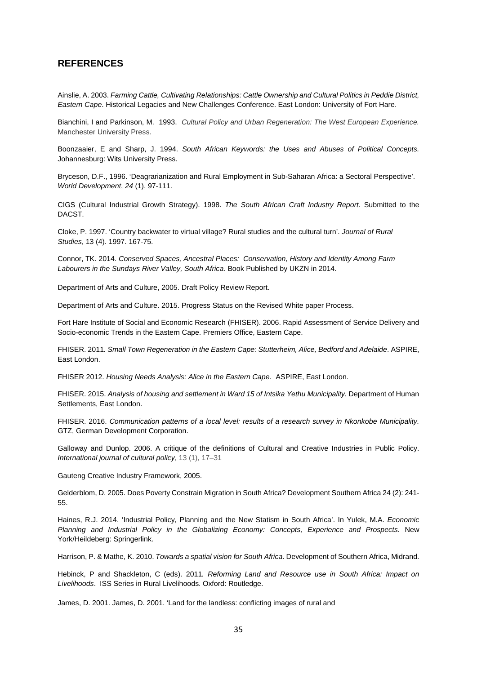#### <span id="page-34-0"></span>**REFERENCES**

Ainslie, A. 2003. *Farming Cattle, Cultivating Relationships: Cattle Ownership and Cultural Politics in Peddie District, Eastern Cape*. Historical Legacies and New Challenges Conference. East London: University of Fort Hare.

Bianchini, I and Parkinson, M. 1993. *Cultural Policy and Urban Regeneration: The West European Experience.*  Manchester University Press.

Boonzaaier, E and Sharp, J. 1994. *South African Keywords: the Uses and Abuses of Political Concepts.* Johannesburg: Wits University Press.

Bryceson, D.F., 1996. 'Deagrarianization and Rural Employment in Sub-Saharan Africa: a Sectoral Perspective'. *World Development*, *24* (1), 97-111.

CIGS (Cultural Industrial Growth Strategy). 1998. *The South African Craft Industry Report.* Submitted to the DACST.

Cloke, P. 1997. 'Country backwater to virtual village? Rural studies and the cultural turn'. *Journal of Rural Studies*, 13 (4). 1997. 167-75.

Connor, TK. 2014. *Conserved Spaces, Ancestral Places: Conservation, History and Identity Among Farm Labourers in the Sundays River Valley, South Africa.* Book Published by UKZN in 2014.

Department of Arts and Culture, 2005. Draft Policy Review Report.

Department of Arts and Culture. 2015. Progress Status on the Revised White paper Process.

Fort Hare Institute of Social and Economic Research (FHISER). 2006. Rapid Assessment of Service Delivery and Socio-economic Trends in the Eastern Cape. Premiers Office, Eastern Cape.

FHISER. 2011*. Small Town Regeneration in the Eastern Cape: Stutterheim, Alice, Bedford and Adelaide*. ASPIRE, East London.

FHISER 2012. *Housing Needs Analysis: Alice in the Eastern Cape*. ASPIRE, East London.

FHISER. 2015. *Analysis of housing and settlement in Ward 15 of Intsika Yethu Municipality.* Department of Human Settlements, East London.

FHISER. 2016. *Communication patterns of a local level: results of a research survey in Nkonkobe Municipality.* GTZ, German Development Corporation.

Galloway and Dunlop. 2006. A critique of the definitions of Cultural and Creative Industries in Public Policy. *International journal of cultural policy*, 13 (1), 17–31

Gauteng Creative Industry Framework, 2005.

Gelderblom, D. 2005. Does Poverty Constrain Migration in South Africa? Development Southern Africa 24 (2): 241- 55.

Haines, R.J. 2014. 'Industrial Policy, Planning and the New Statism in South Africa'. In Yulek, M.A. *Economic Planning and Industrial Policy in the Globalizing Economy: Concepts, Experience and Prospects*. New York/Heildeberg: Springerlink.

Harrison, P. & Mathe, K. 2010. *Towards a spatial vision for South Africa*. Development of Southern Africa, Midrand.

Hebinck, P and Shackleton, C (eds). 2011*. Reforming Land and Resource use in South Africa: Impact on Livelihoods*. ISS Series in Rural Livelihoods. Oxford: Routledge.

James, D. 2001. James, D. 2001. 'Land for the landless: conflicting images of rural and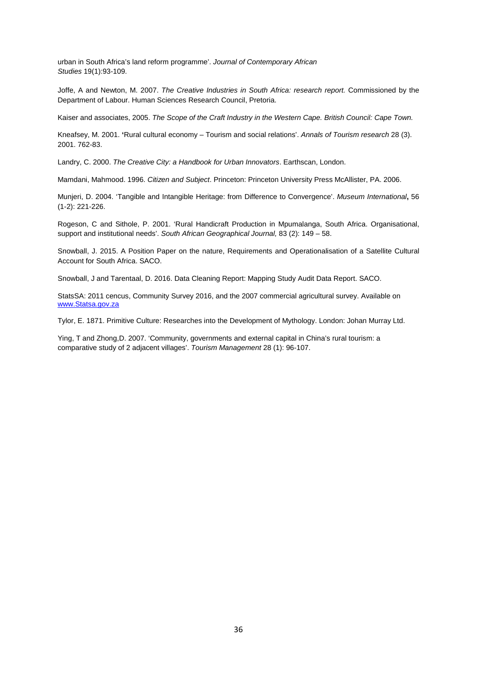urban in South Africa's land reform programme'. *Journal of Contemporary African Studies* 19(1):93-109.

Joffe, A and Newton, M. 2007. *The Creative Industries in South Africa: research report.* Commissioned by the Department of Labour. Human Sciences Research Council, Pretoria.

Kaiser and associates, 2005. *The Scope of the Craft Industry in the Western Cape. British Council: Cape Town.* 

Kneafsey, M. 2001. **'**Rural cultural economy – Tourism and social relations'. *Annals of Tourism research* 28 (3). 2001. 762-83.

Landry, C. 2000. *The Creative City: a Handbook for Urban Innovators*. Earthscan, London.

Mamdani, Mahmood. 1996. *Citizen and Subject*. Princeton: Princeton University Press McAllister, PA. 2006.

Munjeri, D. 2004. 'Tangible and Intangible Heritage: from Difference to Convergence'. *Museum International***,** 56 (1-2): 221-226.

Rogeson, C and Sithole, P. 2001. 'Rural Handicraft Production in Mpumalanga, South Africa. Organisational, support and institutional needs'. *South African Geographical Journal,* 83 (2): 149 – 58.

Snowball, J. 2015. A Position Paper on the nature, Requirements and Operationalisation of a Satellite Cultural Account for South Africa. SACO.

Snowball, J and Tarentaal, D. 2016. Data Cleaning Report: Mapping Study Audit Data Report. SACO.

StatsSA: 2011 cencus, Community Survey 2016, and the 2007 commercial agricultural survey. Available on [www.Statsa.gov.za](http://www.statsa.gov.za/)

Tylor, E. 1871. Primitive Culture: Researches into the Development of Mythology. London: Johan Murray Ltd.

Ying, T and Zhong,D. 2007. 'Community, governments and external capital in China's rural tourism: a comparative study of 2 adjacent villages'. *Tourism Management* 28 (1): 96-107.